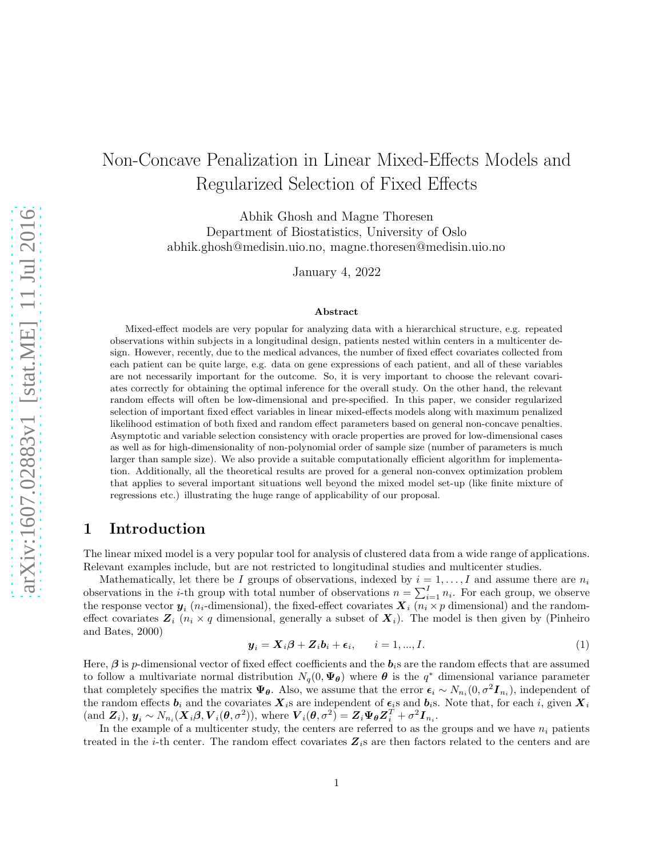# Non-Concave Penalization in Linear Mixed-Effects Models and Regularized Selection of Fixed Effects

Abhik Ghosh and Magne Thoresen Department of Biostatistics, University of Oslo abhik.ghosh@medisin.uio.no, magne.thoresen@medisin.uio.no

January 4, 2022

#### Abstract

Mixed-effect models are very popular for analyzing data with a hierarchical structure, e.g. repeated observations within subjects in a longitudinal design, patients nested within centers in a multicenter design. However, recently, due to the medical advances, the number of fixed effect covariates collected from each patient can be quite large, e.g. data on gene expressions of each patient, and all of these variables are not necessarily important for the outcome. So, it is very important to choose the relevant covariates correctly for obtaining the optimal inference for the overall study. On the other hand, the relevant random effects will often be low-dimensional and pre-specified. In this paper, we consider regularized selection of important fixed effect variables in linear mixed-effects models along with maximum penalized likelihood estimation of both fixed and random effect parameters based on general non-concave penalties. Asymptotic and variable selection consistency with oracle properties are proved for low-dimensional cases as well as for high-dimensionality of non-polynomial order of sample size (number of parameters is much larger than sample size). We also provide a suitable computationally efficient algorithm for implementation. Additionally, all the theoretical results are proved for a general non-convex optimization problem that applies to several important situations well beyond the mixed model set-up (like finite mixture of regressions etc.) illustrating the huge range of applicability of our proposal.

# 1 Introduction

The linear mixed model is a very popular tool for analysis of clustered data from a wide range of applications. Relevant examples include, but are not restricted to longitudinal studies and multicenter studies.

Mathematically, let there be I groups of observations, indexed by  $i = 1, ..., I$  and assume there are  $n_i$ observations in the *i*-th group with total number of observations  $n = \sum_{i=1}^{I} n_i$ . For each group, we observe the response vector  $y_i$  ( $n_i$ -dimensional), the fixed-effect covariates  $\boldsymbol{X}_i$  ( $n_i \times p$  dimensional) and the randomeffect covariates  $Z_i$  ( $n_i \times q$  dimensional, generally a subset of  $X_i$ ). The model is then given by (Pinheiro and Bates, 2000)

<span id="page-0-0"></span>
$$
\mathbf{y}_i = \mathbf{X}_i \boldsymbol{\beta} + \mathbf{Z}_i \mathbf{b}_i + \boldsymbol{\epsilon}_i, \qquad i = 1, ..., I. \tag{1}
$$

Here,  $\beta$  is p-dimensional vector of fixed effect coefficients and the  $b_i$ s are the random effects that are assumed to follow a multivariate normal distribution  $N_q(0, \Psi_{\theta})$  where  $\theta$  is the  $q^*$  dimensional variance parameter that completely specifies the matrix  $\Psi_{\theta}$ . Also, we assume that the error  $\epsilon_i \sim N_{n_i}(0, \sigma^2 I_{n_i})$ , independent of the random effects  $b_i$  and the covariates  $X_i$ s are independent of  $\epsilon_i$ s and  $b_i$ s. Note that, for each i, given  $X_i$  $(\text{and } \mathbf{Z}_i), \mathbf{y}_i \sim N_{n_i}(\mathbf{X}_i \boldsymbol{\beta}, \mathbf{V}_i(\boldsymbol{\theta}, \sigma^2)), \text{ where } \mathbf{V}_i(\boldsymbol{\theta}, \sigma^2) = \mathbf{Z}_i \mathbf{\Psi}_{\boldsymbol{\theta}} \mathbf{Z}_i^T + \sigma^2 \mathbf{I}_{n_i}.$ 

In the example of a multicenter study, the centers are referred to as the groups and we have  $n_i$  patients treated in the *i*-th center. The random effect covariates  $Z_i$  are then factors related to the centers and are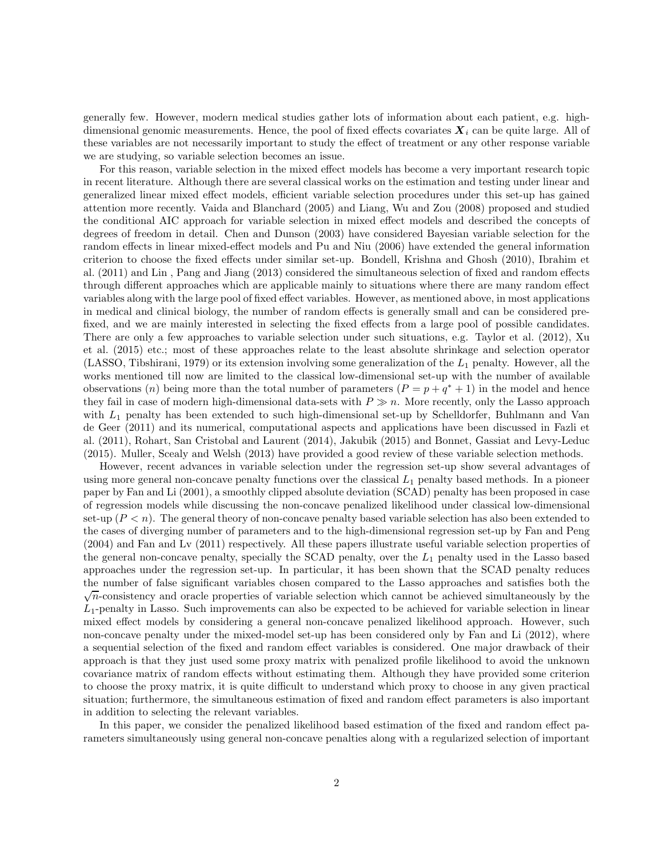generally few. However, modern medical studies gather lots of information about each patient, e.g. highdimensional genomic measurements. Hence, the pool of fixed effects covariates  $\bm{X}_i$  can be quite large. All of these variables are not necessarily important to study the effect of treatment or any other response variable we are studying, so variable selection becomes an issue.

For this reason, variable selection in the mixed effect models has become a very important research topic in recent literature. Although there are several classical works on the estimation and testing under linear and generalized linear mixed effect models, efficient variable selection procedures under this set-up has gained attention more recently. Vaida and Blanchard (2005) and Liang, Wu and Zou (2008) proposed and studied the conditional AIC approach for variable selection in mixed effect models and described the concepts of degrees of freedom in detail. Chen and Dunson (2003) have considered Bayesian variable selection for the random effects in linear mixed-effect models and Pu and Niu (2006) have extended the general information criterion to choose the fixed effects under similar set-up. Bondell, Krishna and Ghosh (2010), Ibrahim et al. (2011) and Lin , Pang and Jiang (2013) considered the simultaneous selection of fixed and random effects through different approaches which are applicable mainly to situations where there are many random effect variables along with the large pool of fixed effect variables. However, as mentioned above, in most applications in medical and clinical biology, the number of random effects is generally small and can be considered prefixed, and we are mainly interested in selecting the fixed effects from a large pool of possible candidates. There are only a few approaches to variable selection under such situations, e.g. Taylor et al. (2012), Xu et al. (2015) etc.; most of these approaches relate to the least absolute shrinkage and selection operator (LASSO, Tibshirani, 1979) or its extension involving some generalization of the  $L_1$  penalty. However, all the works mentioned till now are limited to the classical low-dimensional set-up with the number of available observations (n) being more than the total number of parameters  $(P = p + q^* + 1)$  in the model and hence they fail in case of modern high-dimensional data-sets with  $P \gg n$ . More recently, only the Lasso approach with  $L_1$  penalty has been extended to such high-dimensional set-up by Schelldorfer, Buhlmann and Van de Geer (2011) and its numerical, computational aspects and applications have been discussed in Fazli et al. (2011), Rohart, San Cristobal and Laurent (2014), Jakubik (2015) and Bonnet, Gassiat and Levy-Leduc (2015). Muller, Scealy and Welsh (2013) have provided a good review of these variable selection methods.

However, recent advances in variable selection under the regression set-up show several advantages of using more general non-concave penalty functions over the classical  $L_1$  penalty based methods. In a pioneer paper by Fan and Li (2001), a smoothly clipped absolute deviation (SCAD) penalty has been proposed in case of regression models while discussing the non-concave penalized likelihood under classical low-dimensional set-up  $(P \leq n)$ . The general theory of non-concave penalty based variable selection has also been extended to the cases of diverging number of parameters and to the high-dimensional regression set-up by Fan and Peng (2004) and Fan and Lv (2011) respectively. All these papers illustrate useful variable selection properties of the general non-concave penalty, specially the SCAD penalty, over the  $L_1$  penalty used in the Lasso based approaches under the regression set-up. In particular, it has been shown that the SCAD penalty reduces the number of false significant variables chosen compared to the Lasso approaches and satisfies both the  $\sqrt{n}$ -consistency and oracle properties of variable selection which cannot be achieved simultaneously by the  $L_1$ -penalty in Lasso. Such improvements can also be expected to be achieved for variable selection in linear mixed effect models by considering a general non-concave penalized likelihood approach. However, such non-concave penalty under the mixed-model set-up has been considered only by Fan and Li (2012), where a sequential selection of the fixed and random effect variables is considered. One major drawback of their approach is that they just used some proxy matrix with penalized profile likelihood to avoid the unknown covariance matrix of random effects without estimating them. Although they have provided some criterion to choose the proxy matrix, it is quite difficult to understand which proxy to choose in any given practical situation; furthermore, the simultaneous estimation of fixed and random effect parameters is also important in addition to selecting the relevant variables.

In this paper, we consider the penalized likelihood based estimation of the fixed and random effect parameters simultaneously using general non-concave penalties along with a regularized selection of important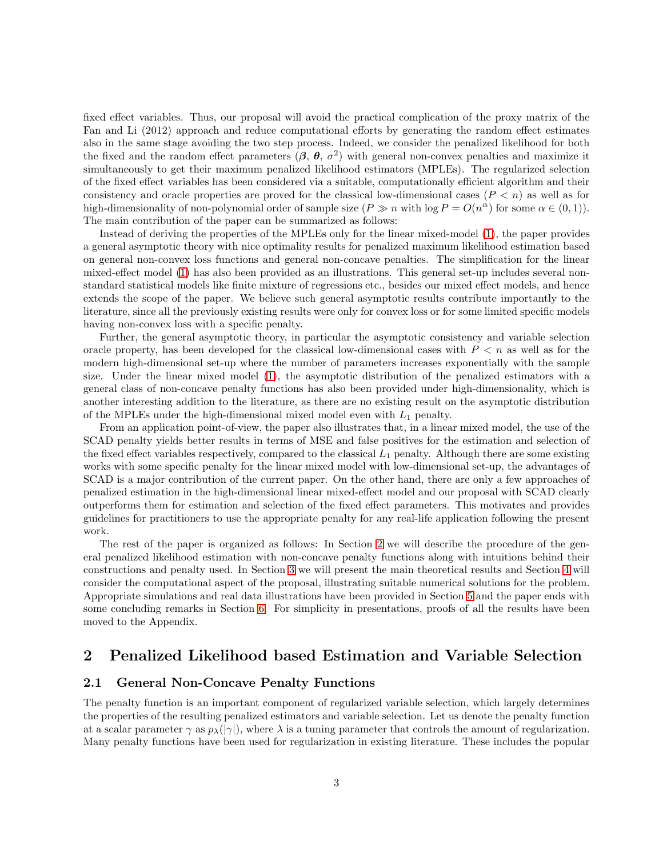fixed effect variables. Thus, our proposal will avoid the practical complication of the proxy matrix of the Fan and Li (2012) approach and reduce computational efforts by generating the random effect estimates also in the same stage avoiding the two step process. Indeed, we consider the penalized likelihood for both the fixed and the random effect parameters  $(\beta, \theta, \sigma^2)$  with general non-convex penalties and maximize it simultaneously to get their maximum penalized likelihood estimators (MPLEs). The regularized selection of the fixed effect variables has been considered via a suitable, computationally efficient algorithm and their consistency and oracle properties are proved for the classical low-dimensional cases  $(P \lt n)$  as well as for high-dimensionality of non-polynomial order of sample size  $(P \gg n \text{ with log } P = O(n^{\alpha})$  for some  $\alpha \in (0, 1)$ . The main contribution of the paper can be summarized as follows:

Instead of deriving the properties of the MPLEs only for the linear mixed-model [\(1\)](#page-0-0), the paper provides a general asymptotic theory with nice optimality results for penalized maximum likelihood estimation based on general non-convex loss functions and general non-concave penalties. The simplification for the linear mixed-effect model [\(1\)](#page-0-0) has also been provided as an illustrations. This general set-up includes several nonstandard statistical models like finite mixture of regressions etc., besides our mixed effect models, and hence extends the scope of the paper. We believe such general asymptotic results contribute importantly to the literature, since all the previously existing results were only for convex loss or for some limited specific models having non-convex loss with a specific penalty.

Further, the general asymptotic theory, in particular the asymptotic consistency and variable selection oracle property, has been developed for the classical low-dimensional cases with  $P < n$  as well as for the modern high-dimensional set-up where the number of parameters increases exponentially with the sample size. Under the linear mixed model [\(1\)](#page-0-0), the asymptotic distribution of the penalized estimators with a general class of non-concave penalty functions has also been provided under high-dimensionality, which is another interesting addition to the literature, as there are no existing result on the asymptotic distribution of the MPLEs under the high-dimensional mixed model even with  $L_1$  penalty.

From an application point-of-view, the paper also illustrates that, in a linear mixed model, the use of the SCAD penalty yields better results in terms of MSE and false positives for the estimation and selection of the fixed effect variables respectively, compared to the classical  $L_1$  penalty. Although there are some existing works with some specific penalty for the linear mixed model with low-dimensional set-up, the advantages of SCAD is a major contribution of the current paper. On the other hand, there are only a few approaches of penalized estimation in the high-dimensional linear mixed-effect model and our proposal with SCAD clearly outperforms them for estimation and selection of the fixed effect parameters. This motivates and provides guidelines for practitioners to use the appropriate penalty for any real-life application following the present work.

The rest of the paper is organized as follows: In Section [2](#page-2-0) we will describe the procedure of the general penalized likelihood estimation with non-concave penalty functions along with intuitions behind their constructions and penalty used. In Section [3](#page-4-0) we will present the main theoretical results and Section [4](#page-10-0) will consider the computational aspect of the proposal, illustrating suitable numerical solutions for the problem. Appropriate simulations and real data illustrations have been provided in Section [5](#page-14-0) and the paper ends with some concluding remarks in Section [6.](#page-16-0) For simplicity in presentations, proofs of all the results have been moved to the Appendix.

### <span id="page-2-1"></span><span id="page-2-0"></span>2 Penalized Likelihood based Estimation and Variable Selection

### 2.1 General Non-Concave Penalty Functions

The penalty function is an important component of regularized variable selection, which largely determines the properties of the resulting penalized estimators and variable selection. Let us denote the penalty function at a scalar parameter  $\gamma$  as  $p_\lambda(|\gamma|)$ , where  $\lambda$  is a tuning parameter that controls the amount of regularization. Many penalty functions have been used for regularization in existing literature. These includes the popular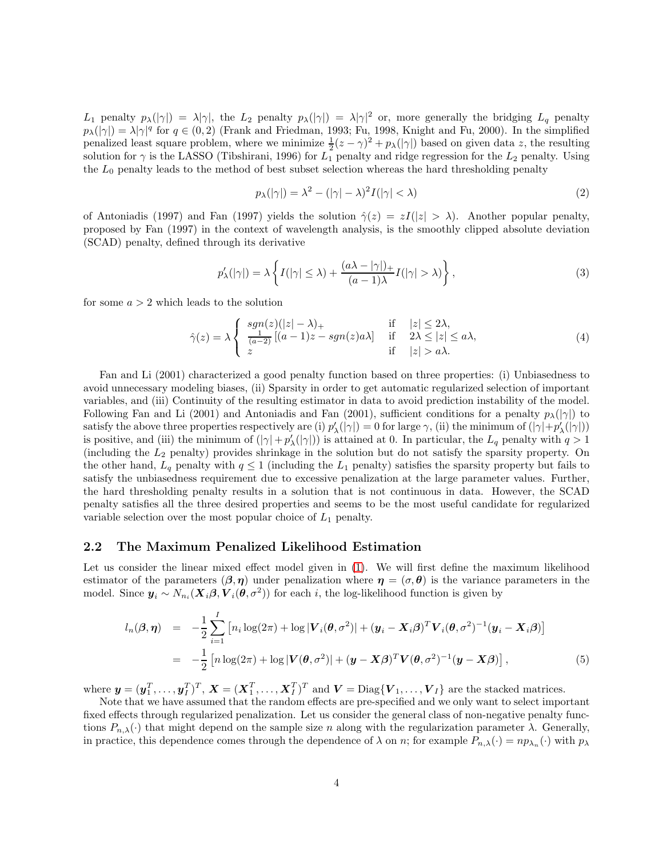L<sub>1</sub> penalty  $p_{\lambda}(|\gamma|) = \lambda |\gamma|$ , the L<sub>2</sub> penalty  $p_{\lambda}(|\gamma|) = \lambda |\gamma|^2$  or, more generally the bridging L<sub>q</sub> penalty  $p_{\lambda}(|\gamma|) = \lambda |\gamma|^q$  for  $q \in (0, 2)$  (Frank and Friedman, 1993; Fu, 1998, Knight and Fu, 2000). In the simplified penalized least square problem, where we minimize  $\frac{1}{2}(z-\gamma)^2 + p_\lambda(|\gamma|)$  based on given data z, the resulting solution for  $\gamma$  is the LASSO (Tibshirani, 1996) for  $L_1$  penalty and ridge regression for the  $L_2$  penalty. Using the  $L_0$  penalty leads to the method of best subset selection whereas the hard thresholding penalty

$$
p_{\lambda}(|\gamma|) = \lambda^2 - (|\gamma| - \lambda)^2 I(|\gamma| < \lambda) \tag{2}
$$

of Antoniadis (1997) and Fan (1997) yields the solution  $\hat{\gamma}(z) = zI(|z| > \lambda)$ . Another popular penalty, proposed by Fan (1997) in the context of wavelength analysis, is the smoothly clipped absolute deviation (SCAD) penalty, defined through its derivative

$$
p'_{\lambda}(|\gamma|) = \lambda \left\{ I(|\gamma| \le \lambda) + \frac{(a\lambda - |\gamma|)_{+}}{(a-1)\lambda} I(|\gamma| > \lambda) \right\},\tag{3}
$$

for some  $a > 2$  which leads to the solution

<span id="page-3-1"></span>
$$
\hat{\gamma}(z) = \lambda \begin{cases}\n\frac{sgn(z)(|z| - \lambda)_+}{\frac{1}{(a-2)}[(a-1)z - sgn(z)a\lambda]} & \text{if } \quad |z| \le 2\lambda, \\
z & \text{if } \quad |z| > a\lambda.\n\end{cases}
$$
\n(4)

Fan and Li (2001) characterized a good penalty function based on three properties: (i) Unbiasedness to avoid unnecessary modeling biases, (ii) Sparsity in order to get automatic regularized selection of important variables, and (iii) Continuity of the resulting estimator in data to avoid prediction instability of the model. Following Fan and Li (2001) and Antoniadis and Fan (2001), sufficient conditions for a penalty  $p_{\lambda}(|\gamma|)$  to satisfy the above three properties respectively are (i)  $p'_{\lambda}(|\gamma|) = 0$  for large  $\gamma$ , (ii) the minimum of  $(|\gamma| + p'_{\lambda}(|\gamma|))$ is positive, and (iii) the minimum of  $(|\gamma| + p'_\lambda(|\gamma|))$  is attained at 0. In particular, the  $L_q$  penalty with  $q > 1$ (including the L<sup>2</sup> penalty) provides shrinkage in the solution but do not satisfy the sparsity property. On the other hand,  $L_q$  penalty with  $q \leq 1$  (including the  $L_1$  penalty) satisfies the sparsity property but fails to satisfy the unbiasedness requirement due to excessive penalization at the large parameter values. Further, the hard thresholding penalty results in a solution that is not continuous in data. However, the SCAD penalty satisfies all the three desired properties and seems to be the most useful candidate for regularized variable selection over the most popular choice of  $L_1$  penalty.

#### 2.2 The Maximum Penalized Likelihood Estimation

Let us consider the linear mixed effect model given in [\(1\)](#page-0-0). We will first define the maximum likelihood estimator of the parameters  $(\beta, \eta)$  under penalization where  $\eta = (\sigma, \theta)$  is the variance parameters in the model. Since  $y_i \sim N_{n_i}(X_i \beta, V_i(\theta, \sigma^2))$  for each *i*, the log-likelihood function is given by

<span id="page-3-0"></span>
$$
l_n(\boldsymbol{\beta}, \boldsymbol{\eta}) = -\frac{1}{2} \sum_{i=1}^I \left[ n_i \log(2\pi) + \log |\boldsymbol{V}_i(\boldsymbol{\theta}, \sigma^2)| + (\boldsymbol{y}_i - \boldsymbol{X}_i \boldsymbol{\beta})^T \boldsymbol{V}_i(\boldsymbol{\theta}, \sigma^2)^{-1} (\boldsymbol{y}_i - \boldsymbol{X}_i \boldsymbol{\beta}) \right]
$$
  
= 
$$
-\frac{1}{2} \left[ n \log(2\pi) + \log |\boldsymbol{V}(\boldsymbol{\theta}, \sigma^2)| + (\boldsymbol{y} - \boldsymbol{X}\boldsymbol{\beta})^T \boldsymbol{V}(\boldsymbol{\theta}, \sigma^2)^{-1} (\boldsymbol{y} - \boldsymbol{X}\boldsymbol{\beta}) \right],
$$
(5)

where  $\mathbf{y} = (\mathbf{y}_1^T, \dots, \mathbf{y}_I^T)^T$ ,  $\mathbf{X} = (\mathbf{X}_1^T, \dots, \mathbf{X}_I^T)^T$  and  $\mathbf{V} = \text{Diag}\{\mathbf{V}_1, \dots, \mathbf{V}_I\}$  are the stacked matrices.

Note that we have assumed that the random effects are pre-specified and we only want to select important fixed effects through regularized penalization. Let us consider the general class of non-negative penalty functions  $P_{n,\lambda}(\cdot)$  that might depend on the sample size n along with the regularization parameter  $\lambda$ . Generally, in practice, this dependence comes through the dependence of  $\lambda$  on n; for example  $P_{n,\lambda}(\cdot) = np_{\lambda_n}(\cdot)$  with  $p_{\lambda}$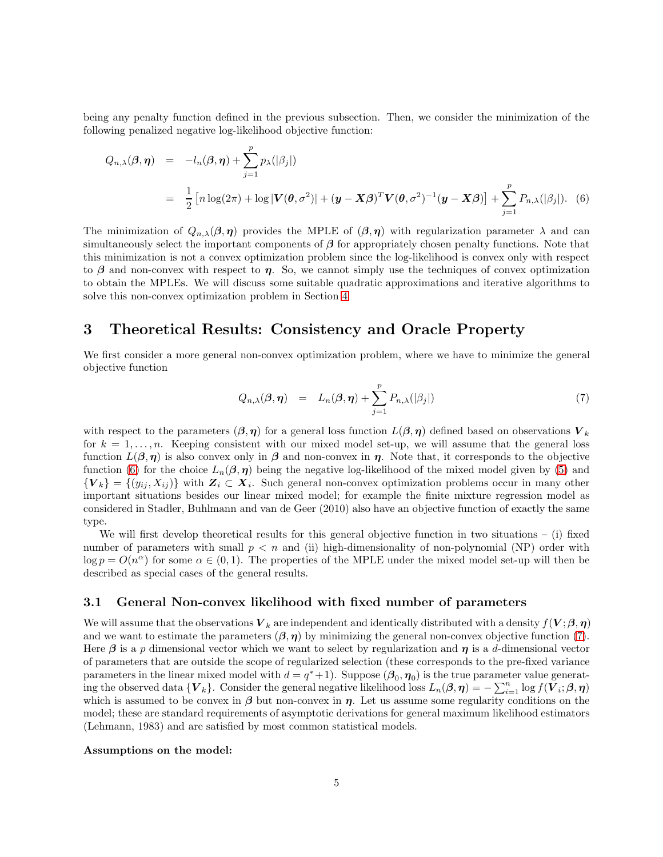being any penalty function defined in the previous subsection. Then, we consider the minimization of the following penalized negative log-likelihood objective function:

<span id="page-4-1"></span>
$$
Q_{n,\lambda}(\boldsymbol{\beta},\boldsymbol{\eta}) = -l_n(\boldsymbol{\beta},\boldsymbol{\eta}) + \sum_{j=1}^p p_{\lambda}(|\beta_j|)
$$
  
= 
$$
\frac{1}{2} \left[ n \log(2\pi) + \log |\mathbf{V}(\boldsymbol{\theta}, \sigma^2)| + (\mathbf{y} - \mathbf{X}\boldsymbol{\beta})^T \mathbf{V}(\boldsymbol{\theta}, \sigma^2)^{-1} (\mathbf{y} - \mathbf{X}\boldsymbol{\beta}) \right] + \sum_{j=1}^p P_{n,\lambda}(|\beta_j|). \quad (6)
$$

The minimization of  $Q_{n,\lambda}(\beta,\eta)$  provides the MPLE of  $(\beta,\eta)$  with regularization parameter  $\lambda$  and can simultaneously select the important components of  $\beta$  for appropriately chosen penalty functions. Note that this minimization is not a convex optimization problem since the log-likelihood is convex only with respect to  $\beta$  and non-convex with respect to  $\eta$ . So, we cannot simply use the techniques of convex optimization to obtain the MPLEs. We will discuss some suitable quadratic approximations and iterative algorithms to solve this non-convex optimization problem in Section [4](#page-10-0)

### <span id="page-4-0"></span>3 Theoretical Results: Consistency and Oracle Property

We first consider a more general non-convex optimization problem, where we have to minimize the general objective function

<span id="page-4-2"></span>
$$
Q_{n,\lambda}(\boldsymbol{\beta},\boldsymbol{\eta}) = L_n(\boldsymbol{\beta},\boldsymbol{\eta}) + \sum_{j=1}^p P_{n,\lambda}(|\beta_j|)
$$
\n(7)

with respect to the parameters  $(\beta, \eta)$  for a general loss function  $L(\beta, \eta)$  defined based on observations  $V_k$ for  $k = 1, \ldots, n$ . Keeping consistent with our mixed model set-up, we will assume that the general loss function  $L(\beta, \eta)$  is also convex only in  $\beta$  and non-convex in  $\eta$ . Note that, it corresponds to the objective function [\(6\)](#page-4-1) for the choice  $L_n(\beta, \eta)$  being the negative log-likelihood of the mixed model given by [\(5\)](#page-3-0) and  ${V_k} = {(y_{ij}, X_{ij})}$  with  $Z_i \subset X_i$ . Such general non-convex optimization problems occur in many other important situations besides our linear mixed model; for example the finite mixture regression model as considered in Stadler, Buhlmann and van de Geer (2010) also have an objective function of exactly the same type.

We will first develop theoretical results for this general objective function in two situations – (i) fixed number of parameters with small  $p < n$  and (ii) high-dimensionality of non-polynomial (NP) order with  $\log p = O(n^{\alpha})$  for some  $\alpha \in (0, 1)$ . The properties of the MPLE under the mixed model set-up will then be described as special cases of the general results.

#### <span id="page-4-3"></span>3.1 General Non-convex likelihood with fixed number of parameters

We will assume that the observations  $V_k$  are independent and identically distributed with a density  $f(V;\beta,\eta)$ and we want to estimate the parameters  $(\beta, \eta)$  by minimizing the general non-convex objective function [\(7\)](#page-4-2). Here  $\beta$  is a p dimensional vector which we want to select by regularization and  $\eta$  is a d-dimensional vector of parameters that are outside the scope of regularized selection (these corresponds to the pre-fixed variance parameters in the linear mixed model with  $d = q^* + 1$ . Suppose  $(\beta_0, \eta_0)$  is the true parameter value generating the observed data  $\{V_k\}$ . Consider the general negative likelihood loss  $L_n(\beta, \eta) = -\sum_{i=1}^n \log f(V_i; \beta, \eta)$ which is assumed to be convex in  $\beta$  but non-convex in  $\eta$ . Let us assume some regularity conditions on the model; these are standard requirements of asymptotic derivations for general maximum likelihood estimators (Lehmann, 1983) and are satisfied by most common statistical models.

#### Assumptions on the model: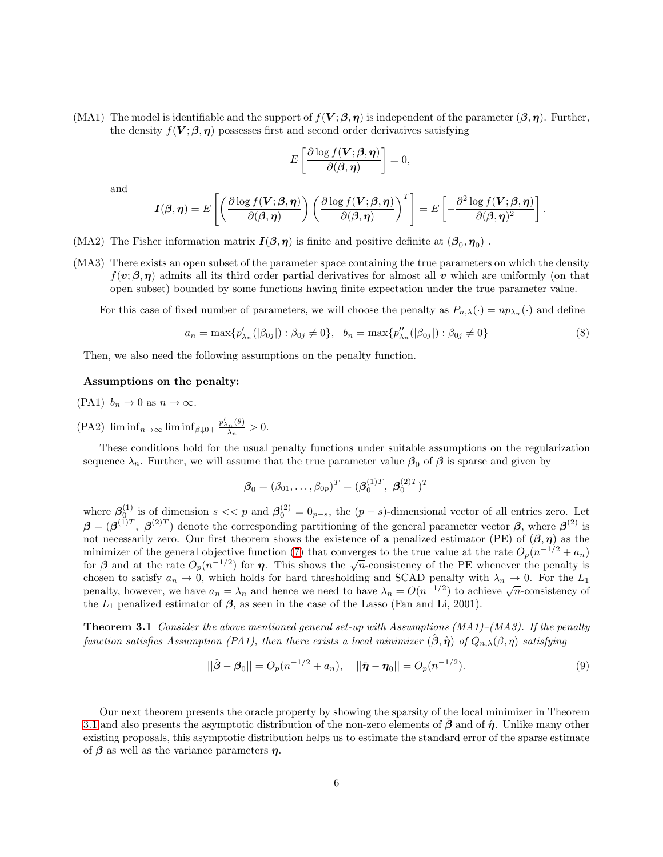(MA1) The model is identifiable and the support of  $f(V; \beta, \eta)$  is independent of the parameter  $(\beta, \eta)$ . Further, the density  $f(V;\beta,\eta)$  possesses first and second order derivatives satisfying

$$
E\left[\frac{\partial \log f(\boldsymbol{V};\boldsymbol{\beta},\boldsymbol{\eta})}{\partial(\boldsymbol{\beta},\boldsymbol{\eta})}\right]=0,
$$

and

$$
I(\boldsymbol{\beta},\boldsymbol{\eta})=E\left[\left(\frac{\partial \log f(\boldsymbol{V};\boldsymbol{\beta},\boldsymbol{\eta})}{\partial(\boldsymbol{\beta},\boldsymbol{\eta})}\right)\left(\frac{\partial \log f(\boldsymbol{V};\boldsymbol{\beta},\boldsymbol{\eta})}{\partial(\boldsymbol{\beta},\boldsymbol{\eta})}\right)^T\right]=E\left[-\frac{\partial^2 \log f(\boldsymbol{V};\boldsymbol{\beta},\boldsymbol{\eta})}{\partial(\boldsymbol{\beta},\boldsymbol{\eta})^2}\right].
$$

- (MA2) The Fisher information matrix  $I(\beta, \eta)$  is finite and positive definite at  $(\beta_0, \eta_0)$ .
- (MA3) There exists an open subset of the parameter space containing the true parameters on which the density  $f(\mathbf{v}; \boldsymbol{\beta}, \boldsymbol{\eta})$  admits all its third order partial derivatives for almost all v which are uniformly (on that open subset) bounded by some functions having finite expectation under the true parameter value.

For this case of fixed number of parameters, we will choose the penalty as  $P_{n,\lambda}(\cdot) = np_{\lambda_n}(\cdot)$  and define

$$
a_n = \max\{p'_{\lambda_n}(|\beta_{0j}|) : \beta_{0j} \neq 0\}, \quad b_n = \max\{p''_{\lambda_n}(|\beta_{0j}|) : \beta_{0j} \neq 0\}
$$
(8)

Then, we also need the following assumptions on the penalty function.

#### Assumptions on the penalty:

- (PA1)  $b_n \to 0$  as  $n \to \infty$ .
- $(PA2)$  lim inf<sub>n→∞</sub> lim inf<sub>β↓0+</sub>  $\frac{p'_{\lambda_n}(\theta)}{\lambda_n}$  $rac{n^{(v)}}{\lambda_n} > 0.$

These conditions hold for the usual penalty functions under suitable assumptions on the regularization sequence  $\lambda_n$ . Further, we will assume that the true parameter value  $\beta_0$  of  $\beta$  is sparse and given by

$$
\boldsymbol{\beta}_0 = (\beta_{01}, \dots, \beta_{0p})^T = (\boldsymbol{\beta}_0^{(1)T}, \ \boldsymbol{\beta}_0^{(2)T})^T
$$

where  $\beta_0^{(1)}$  is of dimension  $s \ll p$  and  $\beta_0^{(2)} = 0_{p-s}$ , the  $(p-s)$ -dimensional vector of all entries zero. Let  $\beta = (\beta^{(1)T}, \beta^{(2)T})$  denote the corresponding partitioning of the general parameter vector  $\beta$ , where  $\beta^{(2)}$  is not necessarily zero. Our first theorem shows the existence of a penalized estimator (PE) of  $(\beta, \eta)$  as the minimizer of the general objective function [\(7\)](#page-4-2) that converges to the true value at the rate  $O_p(n^{-1/2} + a_n)$ for  $\beta$  and at the rate  $O_p(n^{-1/2})$  for  $\eta$ . This shows the  $\sqrt{n}$ -consistency of the PE whenever the penalty is chosen to satisfy  $a_n \to 0$ , which holds for hard thresholding and SCAD penalty with  $\lambda_n \to 0$ . For the  $L_1$ penalty, however, we have  $a_n = \lambda_n$  and hence we need to have  $\lambda_n = O(n^{-1/2})$  to achieve  $\sqrt{n}$ -consistency of the  $L_1$  penalized estimator of  $\beta$ , as seen in the case of the Lasso (Fan and Li, 2001).

**Theorem 3.1** Consider the above mentioned general set-up with Assumptions (MA1)–(MA3). If the penalty function satisfies Assumption (PA1), then there exists a local minimizer  $(\hat{\beta}, \hat{\eta})$  of  $Q_{n,\lambda}(\beta, \eta)$  satisfying

<span id="page-5-0"></span>
$$
||\hat{\boldsymbol{\beta}} - \boldsymbol{\beta}_0|| = O_p(n^{-1/2} + a_n), \quad ||\hat{\boldsymbol{\eta}} - \boldsymbol{\eta}_0|| = O_p(n^{-1/2}). \tag{9}
$$

Our next theorem presents the oracle property by showing the sparsity of the local minimizer in Theorem [3.1](#page-5-0) and also presents the asymptotic distribution of the non-zero elements of  $\hat{\beta}$  and of  $\hat{\eta}$ . Unlike many other existing proposals, this asymptotic distribution helps us to estimate the standard error of the sparse estimate of  $\beta$  as well as the variance parameters  $\eta$ .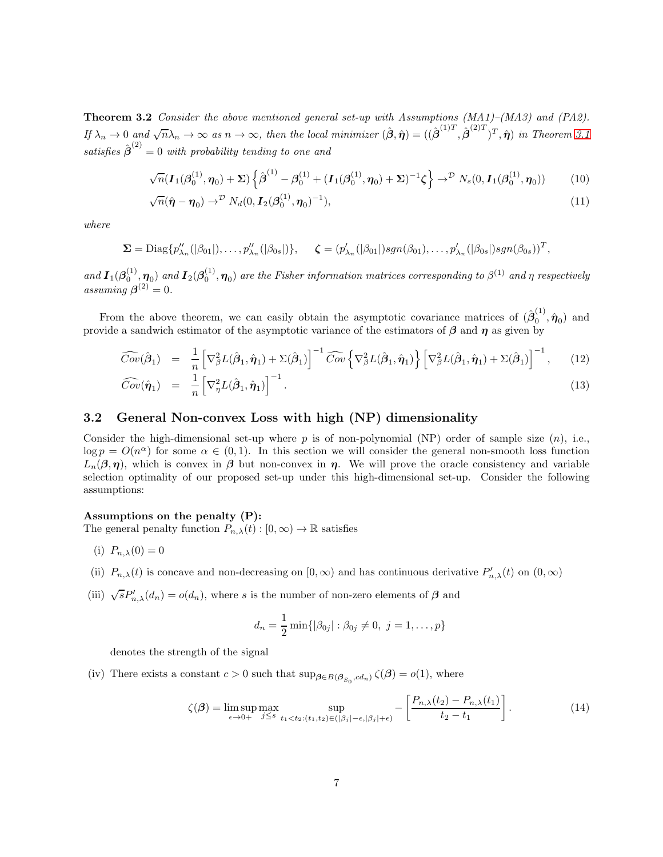**Theorem 3.2** Consider the above mentioned general set-up with Assumptions (MA1)–(MA3) and (PA2). If  $\lambda_n \to 0$  and  $\sqrt{n}\lambda_n \to \infty$  as  $n \to \infty$ , then the local minimizer  $(\hat{\boldsymbol{\beta}}, \hat{\boldsymbol{\eta}}) = ((\hat{\boldsymbol{\beta}}^{(1)T}, \hat{\boldsymbol{\beta}}^{(2)T})^T, \hat{\boldsymbol{\eta}})$  in Theorem [3.1](#page-5-0) satisfies  $\hat{\boldsymbol{\beta}}^{(2)}=0$  with probability tending to one and

<span id="page-6-0"></span>
$$
\sqrt{n}(\mathbf{I}_{1}(\boldsymbol{\beta}_{0}^{(1)},\boldsymbol{\eta}_{0})+\boldsymbol{\Sigma})\left\{\hat{\boldsymbol{\beta}}^{(1)}-\boldsymbol{\beta}_{0}^{(1)}+(\mathbf{I}_{1}(\boldsymbol{\beta}_{0}^{(1)},\boldsymbol{\eta}_{0})+\boldsymbol{\Sigma})^{-1}\boldsymbol{\zeta}\right\}\rightarrow^{D} N_{s}(0,\mathbf{I}_{1}(\boldsymbol{\beta}_{0}^{(1)},\boldsymbol{\eta}_{0}))
$$
(10)

$$
\sqrt{n}(\hat{\boldsymbol{\eta}} - \boldsymbol{\eta}_0) \rightarrow^{\mathcal{D}} N_d(0, \boldsymbol{I}_2(\boldsymbol{\beta}_0^{(1)}, \boldsymbol{\eta}_0)^{-1}), \qquad (11)
$$

where

$$
\Sigma = \text{Diag}\{p''_{\lambda_n}(|\beta_{01}|),\ldots,p''_{\lambda_n}(|\beta_{0s}|)\}, \quad \zeta = (p'_{\lambda_n}(|\beta_{01}|)sgn(\beta_{01}),\ldots,p'_{\lambda_n}(|\beta_{0s}|)sgn(\beta_{0s}))^T,
$$

and  $I_1(\beta_0^{(1)}, \eta_0)$  and  $I_2(\beta_0^{(1)}, \eta_0)$  are the Fisher information matrices corresponding to  $\beta^{(1)}$  and  $\eta$  respectively assuming  $\boldsymbol{\beta}^{(2)}=0$ .

From the above theorem, we can easily obtain the asymptotic covariance matrices of  $(\hat{\beta}_0^{(1)})$  $\hat{\eta}_0^{\scriptscriptstyle (1)}, \hat{\pmb{\eta}}_0$  and provide a sandwich estimator of the asymptotic variance of the estimators of  $\beta$  and  $\eta$  as given by

$$
\widehat{Cov}(\hat{\boldsymbol{\beta}}_1) = \frac{1}{n} \left[ \nabla_{\beta}^2 L(\hat{\boldsymbol{\beta}}_1, \hat{\boldsymbol{\eta}}_1) + \Sigma(\hat{\boldsymbol{\beta}}_1) \right]^{-1} \widehat{Cov} \left\{ \nabla_{\beta}^2 L(\hat{\boldsymbol{\beta}}_1, \hat{\boldsymbol{\eta}}_1) \right\} \left[ \nabla_{\beta}^2 L(\hat{\boldsymbol{\beta}}_1, \hat{\boldsymbol{\eta}}_1) + \Sigma(\hat{\boldsymbol{\beta}}_1) \right]^{-1}, \quad (12)
$$
\n
$$
\widehat{Cov}(\hat{\boldsymbol{\eta}}_1) = \frac{1}{n} \left[ \nabla_{\beta}^2 L(\hat{\boldsymbol{\beta}}_1, \hat{\boldsymbol{\eta}}_1) \right]^{-1} . \quad (13)
$$

$$
\widehat{ov}(\hat{\boldsymbol{\eta}}_1) = \frac{1}{n} \left[ \nabla_{\boldsymbol{\eta}}^2 L(\hat{\boldsymbol{\beta}}_1, \hat{\boldsymbol{\eta}}_1) \right]^{-1} . \tag{13}
$$

### <span id="page-6-1"></span>3.2 General Non-convex Loss with high (NP) dimensionality

Consider the high-dimensional set-up where p is of non-polynomial (NP) order of sample size  $(n)$ , i.e.,  $\log p = O(n^{\alpha})$  for some  $\alpha \in (0, 1)$ . In this section we will consider the general non-smooth loss function  $L_n(\beta, \eta)$ , which is convex in  $\beta$  but non-convex in  $\eta$ . We will prove the oracle consistency and variable selection optimality of our proposed set-up under this high-dimensional set-up. Consider the following assumptions:

#### Assumptions on the penalty (P):

The general penalty function  $P_{n,\lambda}(t): [0,\infty) \to \mathbb{R}$  satisfies

- (i)  $P_{n,\lambda}(0) = 0$
- (ii)  $P_{n,\lambda}(t)$  is concave and non-decreasing on  $[0,\infty)$  and has continuous derivative  $P'_{n,\lambda}(t)$  on  $(0,\infty)$
- (iii)  $\sqrt{s}P'_{n,\lambda}(d_n) = o(d_n)$ , where s is the number of non-zero elements of  $\beta$  and

$$
d_n = \frac{1}{2} \min \{ |\beta_{0j}| : \beta_{0j} \neq 0, \ j = 1, \dots, p \}
$$

denotes the strength of the signal

(iv) There exists a constant  $c > 0$  such that  $\sup_{\beta \in B(\beta_{S_0}, c d_n)} \zeta(\beta) = o(1)$ , where

$$
\zeta(\boldsymbol{\beta}) = \limsup_{\epsilon \to 0+} \max_{j \le s} \sup_{t_1 < t_2: (t_1, t_2) \in (|\beta_j| - \epsilon, |\beta_j| + \epsilon)} - \left[ \frac{P_{n,\lambda}(t_2) - P_{n,\lambda}(t_1)}{t_2 - t_1} \right]. \tag{14}
$$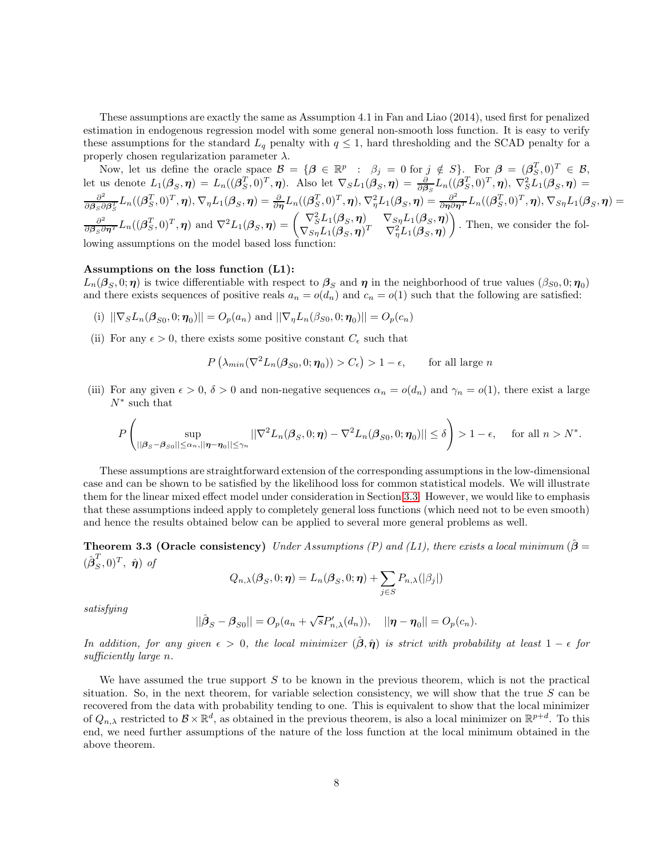These assumptions are exactly the same as Assumption 4.1 in Fan and Liao (2014), used first for penalized estimation in endogenous regression model with some general non-smooth loss function. It is easy to verify these assumptions for the standard  $L_q$  penalty with  $q \leq 1$ , hard thresholding and the SCAD penalty for a properly chosen regularization parameter  $\lambda$ .

Now, let us define the oracle space  $\mathcal{B} = \{ \beta \in \mathbb{R}^p : \beta_j = 0 \text{ for } j \notin S \}$ . For  $\beta = (\beta_S^T, 0)^T \in \mathcal{B}$ , let us denote  $L_1(\boldsymbol{\beta}_S, \boldsymbol{\eta}) = L_n((\boldsymbol{\beta}_S^T, 0)^T, \boldsymbol{\eta})$ . Also let  $\nabla_S L_1(\boldsymbol{\beta}_S, \boldsymbol{\eta}) = \frac{\partial}{\partial \boldsymbol{\beta}_S} L_n((\boldsymbol{\beta}_S^T, 0)^T, \boldsymbol{\eta})$ ,  $\nabla_S^2 L_1(\boldsymbol{\beta}_S, \boldsymbol{\eta}) =$  $\partial^2$  $\frac{\partial^2}{\partial \boldsymbol{\beta}_S \partial \boldsymbol{\beta}_S^T} L_n((\boldsymbol{\beta}_S^T,0)^T,\boldsymbol{\eta}), \nabla_{\eta} L_1(\boldsymbol{\beta}_S,\boldsymbol{\eta}) = \frac{\partial}{\partial \boldsymbol{\eta}} L_n((\boldsymbol{\beta}_S^T,0)^T,\boldsymbol{\eta}), \nabla^2_{\eta} L_1(\boldsymbol{\beta}_S,\boldsymbol{\eta}) = \frac{\partial^2}{\partial \boldsymbol{\eta} \partial \boldsymbol{\eta}^T} L_n((\boldsymbol{\beta}_S^T,0)^T,\boldsymbol{\eta}), \nabla_{S\eta} L_1(\boldsymbol{\beta}_S,\boldsymbol{\eta}) = \frac{\partial^2}{\partial$  $\frac{\partial^2}{\partial \beta_S \partial \boldsymbol{\eta}^T} L_n((\boldsymbol{\beta}_S^T, 0)^T, \boldsymbol{\eta}) \text{ and } \nabla^2 L_1(\boldsymbol{\beta}_S, \boldsymbol{\eta}) = \begin{pmatrix} \nabla_S^2 L_1(\boldsymbol{\beta}_S, \boldsymbol{\eta}) & \nabla_{S_{\boldsymbol{\eta}}} L_1(\boldsymbol{\beta}_S, \boldsymbol{\eta}) \\ \nabla_{S_{\boldsymbol{\eta}}} L_1(\boldsymbol{\beta}_S, \boldsymbol{\eta})^T & \nabla_n^2 L_1(\boldsymbol{\beta}_S, \boldsymbol{\eta}) \end{pmatrix}$  $\nabla_{S\pmb{\eta}}L_1(\boldsymbol{\beta}_S,\boldsymbol{\eta})^T - \nabla^2_{\pmb{\eta}}L_1(\boldsymbol{\beta}_S,\boldsymbol{\eta})$  $\overline{\phantom{0}}$ . Then, we consider the following assumptions on the model based loss function-

#### Assumptions on the loss function (L1):

 $L_n(\mathcal{B}_S, 0; \eta)$  is twice differentiable with respect to  $\mathcal{B}_S$  and  $\eta$  in the neighborhood of true values  $(\beta_{S0}, 0; \eta_0)$ and there exists sequences of positive reals  $a_n = o(d_n)$  and  $c_n = o(1)$  such that the following are satisfied:

- (i)  $||\nabla_S L_n(\beta_{S0}, 0; \boldsymbol{\eta}_0)|| = O_p(a_n)$  and  $||\nabla_{\eta} L_n(\beta_{S0}, 0; \boldsymbol{\eta}_0)|| = O_p(c_n)$
- (ii) For any  $\epsilon > 0$ , there exists some positive constant  $C_{\epsilon}$  such that

$$
P\left(\lambda_{min}(\nabla^2 L_n(\boldsymbol{\beta}_{S0}, 0; \boldsymbol{\eta}_0)) > C_{\epsilon}\right) > 1 - \epsilon,
$$
 for all large *n*

(iii) For any given  $\epsilon > 0$ ,  $\delta > 0$  and non-negative sequences  $\alpha_n = o(d_n)$  and  $\gamma_n = o(1)$ , there exist a large  $N^*$  such that

$$
P\left(\sup_{||\boldsymbol{\beta}_S-\boldsymbol{\beta}_{S0}||\leq\alpha_n, ||\boldsymbol{\eta}-\boldsymbol{\eta}_0||\leq\gamma_n}||\nabla^2L_n(\boldsymbol{\beta}_S,0;\boldsymbol{\eta})-\nabla^2L_n(\boldsymbol{\beta}_{S0},0;\boldsymbol{\eta}_0)||\leq\delta\right)>1-\epsilon,\quad\text{ for all }n>N^*.
$$

These assumptions are straightforward extension of the corresponding assumptions in the low-dimensional case and can be shown to be satisfied by the likelihood loss for common statistical models. We will illustrate them for the linear mixed effect model under consideration in Section [3.3.](#page-8-0) However, we would like to emphasis that these assumptions indeed apply to completely general loss functions (which need not to be even smooth) and hence the results obtained below can be applied to several more general problems as well.

<span id="page-7-0"></span>**Theorem 3.3 (Oracle consistency)** Under Assumptions (P) and (L1), there exists a local minimum ( $\hat{\boldsymbol{\beta}} =$  $(\hat{\boldsymbol{\beta}}_S^T, 0)^T, \; \hat{\boldsymbol{\eta}})$  of

$$
Q_{n,\lambda}(\boldsymbol{\beta}_S,0;\boldsymbol{\eta}) = L_n(\boldsymbol{\beta}_S,0;\boldsymbol{\eta}) + \sum_{j\in S} P_{n,\lambda}(|\beta_j|)
$$

satisfying

$$
||\hat{\boldsymbol{\beta}}_S - \boldsymbol{\beta}_{S0}|| = O_p(a_n + \sqrt{s}P'_{n,\lambda}(d_n)), \quad ||\boldsymbol{\eta} - \boldsymbol{\eta}_0|| = O_p(c_n).
$$

In addition, for any given  $\epsilon > 0$ , the local minimizer  $(\hat{\beta}, \hat{\eta})$  is strict with probability at least  $1 - \epsilon$  for sufficiently large n.

We have assumed the true support  $S$  to be known in the previous theorem, which is not the practical situation. So, in the next theorem, for variable selection consistency, we will show that the true  $S$  can be recovered from the data with probability tending to one. This is equivalent to show that the local minimizer of  $Q_{n,\lambda}$  restricted to  $\mathcal{B} \times \mathbb{R}^d$ , as obtained in the previous theorem, is also a local minimizer on  $\mathbb{R}^{p+d}$ . To this end, we need further assumptions of the nature of the loss function at the local minimum obtained in the above theorem.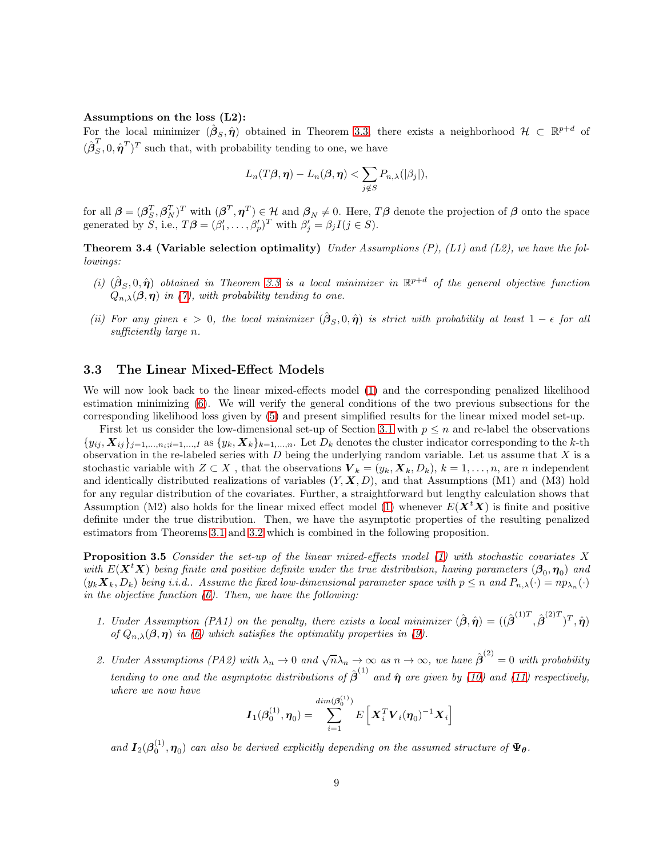#### Assumptions on the loss (L2):

For the local minimizer  $(\hat{\boldsymbol{\beta}}_S, \hat{\boldsymbol{\eta}})$  obtained in Theorem [3.3,](#page-7-0) there exists a neighborhood  $\mathcal{H} \subset \mathbb{R}^{p+d}$  of  $(\hat{\boldsymbol{\beta}}_S^T, 0, \hat{\boldsymbol{\eta}}^T)^T$  such that, with probability tending to one, we have

$$
L_n(T\boldsymbol{\beta},\boldsymbol{\eta})-L_n(\boldsymbol{\beta},\boldsymbol{\eta}) < \sum_{j \notin S} P_{n,\lambda}(|\beta_j|),
$$

<span id="page-8-2"></span>for all  $\boldsymbol{\beta} = (\boldsymbol{\beta}_S^T, \boldsymbol{\beta}_N^T)^T$  with  $(\boldsymbol{\beta}^T, \boldsymbol{\eta}^T) \in \mathcal{H}$  and  $\boldsymbol{\beta}_N \neq 0$ . Here,  $T\boldsymbol{\beta}$  denote the projection of  $\boldsymbol{\beta}$  onto the space generated by S, i.e.,  $T\boldsymbol{\beta} = (\beta'_1, \ldots, \beta'_p)^T$  with  $\beta'_j = \beta_j I(j \in S)$ .

**Theorem 3.4 (Variable selection optimality)** Under Assumptions  $(P)$ ,  $(L1)$  and  $(L2)$ , we have the followings:

- (i)  $(\hat{\boldsymbol{\beta}}_S, 0, \hat{\boldsymbol{\eta}})$  obtained in Theorem [3.3](#page-7-0) is a local minimizer in  $\mathbb{R}^{p+d}$  of the general objective function  $Q_{n,\lambda}(\boldsymbol{\beta}, \boldsymbol{\eta})$  in [\(7\)](#page-4-2), with probability tending to one.
- (ii) For any given  $\epsilon > 0$ , the local minimizer  $(\hat{\beta}_S, 0, \hat{\eta})$  is strict with probability at least  $1 \epsilon$  for all sufficiently large n.

#### <span id="page-8-0"></span>3.3 The Linear Mixed-Effect Models

We will now look back to the linear mixed-effects model [\(1\)](#page-0-0) and the corresponding penalized likelihood estimation minimizing [\(6\)](#page-4-1). We will verify the general conditions of the two previous subsections for the corresponding likelihood loss given by [\(5\)](#page-3-0) and present simplified results for the linear mixed model set-up.

First let us consider the low-dimensional set-up of Section [3.1](#page-4-3) with  $p \leq n$  and re-label the observations  ${y_{ij}, X_{ij}}_{j=1,\ldots,n_i;i=1,\ldots,I}$  as  ${y_k, X_k}_{k=1,\ldots,n}$ . Let  $D_k$  denotes the cluster indicator corresponding to the k-th observation in the re-labeled series with  $D$  being the underlying random variable. Let us assume that  $X$  is a stochastic variable with  $Z \subset X$ , that the observations  $\mathbf{V}_k = (y_k, \mathbf{X}_k, D_k)$ ,  $k = 1, \ldots, n$ , are n independent and identically distributed realizations of variables  $(Y, X, D)$ , and that Assumptions (M1) and (M3) hold for any regular distribution of the covariates. Further, a straightforward but lengthy calculation shows that Assumption (M2) also holds for the linear mixed effect model [\(1\)](#page-0-0) whenever  $E(\boldsymbol{X}^t\boldsymbol{X})$  is finite and positive definite under the true distribution. Then, we have the asymptotic properties of the resulting penalized estimators from Theorems [3.1](#page-5-0) and [3.2](#page-6-0) which is combined in the following proposition.

**Proposition 3.5** Consider the set-up of the linear mixed-effects model  $(1)$  with stochastic covariates X with  $E(\bm{X}^t\bm{X})$  being finite and positive definite under the true distribution, having parameters  $(\bm{\beta}_0, \bm{\eta}_0)$  and  $(y_k \mathbf{X}_k, D_k)$  being i.i.d.. Assume the fixed low-dimensional parameter space with  $p \le n$  and  $P_{n,\lambda}(\cdot) = np_{\lambda_n}(\cdot)$ in the objective function  $(6)$ . Then, we have the following:

- 1. Under Assumption (PA1) on the penalty, there exists a local minimizer  $(\hat{\boldsymbol{\beta}}, \hat{\boldsymbol{\eta}}) = ((\hat{\boldsymbol{\beta}}^{(1)T}, \hat{\boldsymbol{\beta}}^{(2)T})^T, \hat{\boldsymbol{\eta}})$ of  $Q_{n,\lambda}(\boldsymbol{\beta},\boldsymbol{\eta})$  in [\(6\)](#page-4-1) which satisfies the optimality properties in [\(9\)](#page-5-0).
- <span id="page-8-1"></span>2. Under Assumptions (PA2) with  $\lambda_n \to 0$  and  $\sqrt{n}\lambda_n \to \infty$  as  $n \to \infty$ , we have  $\hat{\beta}^{(2)} = 0$  with probability tending to one and the asymptotic distributions of  $\hat{\boldsymbol{\beta}}^{(1)}$  and  $\hat{\boldsymbol{\eta}}$  are given by [\(10\)](#page-6-0) and [\(11\)](#page-6-0) respectively, where we now have

$$
\boldsymbol{I}_{1}(\boldsymbol{\beta}_0^{(1)},\boldsymbol{\eta}_0)=\sum_{i=1}^{dim(\boldsymbol{\beta}_0^{(1)})}E\left[\boldsymbol{X}_i^T\boldsymbol{V}_i(\boldsymbol{\eta}_0)^{-1}\boldsymbol{X}_i\right]
$$

and  $I_2(\boldsymbol{\beta}_0^{(1)}, \boldsymbol{\eta}_0)$  can also be derived explicitly depending on the assumed structure of  $\Psi_{\theta}$ .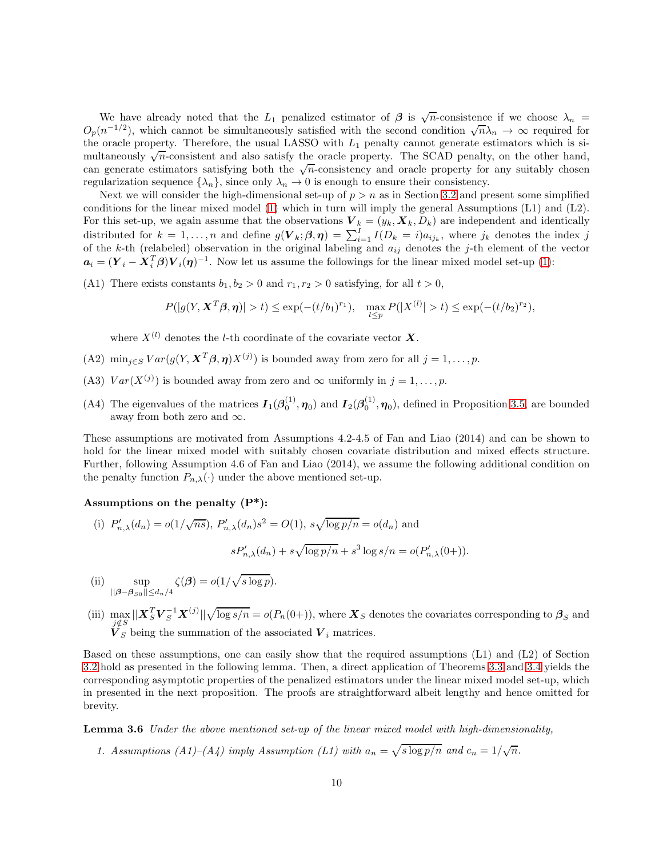We have already noted that the  $L_1$  penalized estimator of  $\beta$  is  $\sqrt{n}$ -consistence if we choose  $\lambda_n$  $O_p(n^{-1/2})$ , which cannot be simultaneously satisfied with the second condition  $\sqrt{n}\lambda_n \to \infty$  required for the oracle property. Therefore, the usual LASSO with  $L_1$  penalty cannot generate estimators which is simultaneously  $\sqrt{n}$ -consistent and also satisfy the oracle property. The SCAD penalty, on the other hand, can generate estimators satisfying both the  $\sqrt{n}$ -consistency and oracle property for any suitably chosen regularization sequence  $\{\lambda_n\}$ , since only  $\lambda_n \to 0$  is enough to ensure their consistency.

Next we will consider the high-dimensional set-up of  $p > n$  as in Section [3.2](#page-6-1) and present some simplified conditions for the linear mixed model [\(1\)](#page-0-0) which in turn will imply the general Assumptions (L1) and (L2). For this set-up, we again assume that the observations  $\mathbf{V}_k = (y_k, \mathbf{X}_k, D_k)$  are independent and identically distributed for  $k = 1, ..., n$  and define  $g(V_k; \beta, \eta) = \sum_{i=1}^I I(D_k = i) a_{ij_k}$ , where  $j_k$  denotes the index j of the k-th (relabeled) observation in the original labeling and  $a_{ij}$  denotes the j-th element of the vector  $a_i = (Y_i - X_i^T \beta)V_i(\eta)^{-1}$ . Now let us assume the followings for the linear mixed model set-up [\(1\)](#page-0-0):

(A1) There exists constants  $b_1, b_2 > 0$  and  $r_1, r_2 > 0$  satisfying, for all  $t > 0$ ,

$$
P(|g(Y, \mathbf{X}^T \boldsymbol{\beta}, \boldsymbol{\eta})| > t) \le \exp(-(t/b_1)^{r_1}), \quad \max_{l \le p} P(|X^{(l)}| > t) \le \exp(-(t/b_2)^{r_2}),
$$

where  $X^{(l)}$  denotes the l-th coordinate of the covariate vector  $\boldsymbol{X}$ .

- (A2)  $\min_{j \in S} Var(g(Y, \mathbf{X}^T \boldsymbol{\beta}, \boldsymbol{\eta}) X^{(j)})$  is bounded away from zero for all  $j = 1, \ldots, p$ .
- (A3)  $Var(X^{(j)})$  is bounded away from zero and  $\infty$  uniformly in  $j = 1, ..., p$ .
- (A4) The eigenvalues of the matrices  $I_1(\beta_0^{(1)}, \eta_0)$  and  $I_2(\beta_0^{(1)}, \eta_0)$ , defined in Proposition [3.5,](#page-8-1) are bounded away from both zero and  $\infty$ .

These assumptions are motivated from Assumptions 4.2-4.5 of Fan and Liao (2014) and can be shown to hold for the linear mixed model with suitably chosen covariate distribution and mixed effects structure. Further, following Assumption 4.6 of Fan and Liao (2014), we assume the following additional condition on the penalty function  $P_{n,\lambda}(\cdot)$  under the above mentioned set-up.

#### Assumptions on the penalty  $(P^*)$ :

(i) 
$$
P'_{n,\lambda}(d_n) = o(1/\sqrt{ns}), P'_{n,\lambda}(d_n)s^2 = O(1), s\sqrt{\log p/n} = o(d_n)
$$
 and  

$$
sP'_{n,\lambda}(d_n) + s\sqrt{\log p/n} + s^3 \log s/n = o(P'_{n,\lambda}(0+)).
$$

(ii) 
$$
\sup_{||\boldsymbol{\beta}-\boldsymbol{\beta}_{S0}||\leq d_n/4} \zeta(\boldsymbol{\beta}) = o(1/\sqrt{s \log p}).
$$

(iii)  $\max_{j \notin S} ||X_S^T V_S^{-1} X^{(j)}|| \sqrt{\log s/n} = o(P_n(0+)),$  where  $X_S$  denotes the covariates corresponding to  $\beta_S$  and  $V_S$  being the summation of the associated  $V_i$  matrices.

Based on these assumptions, one can easily show that the required assumptions (L1) and (L2) of Section [3.2](#page-6-1) hold as presented in the following lemma. Then, a direct application of Theorems [3.3](#page-7-0) and [3.4](#page-8-2) yields the corresponding asymptotic properties of the penalized estimators under the linear mixed model set-up, which in presented in the next proposition. The proofs are straightforward albeit lengthy and hence omitted for brevity.

Lemma 3.6 Under the above mentioned set-up of the linear mixed model with high-dimensionality,

1. Assumptions (A1)–(A4) imply Assumption (L1) with  $a_n = \sqrt{s \log p/n}$  and  $c_n = 1/\sqrt{n}$ .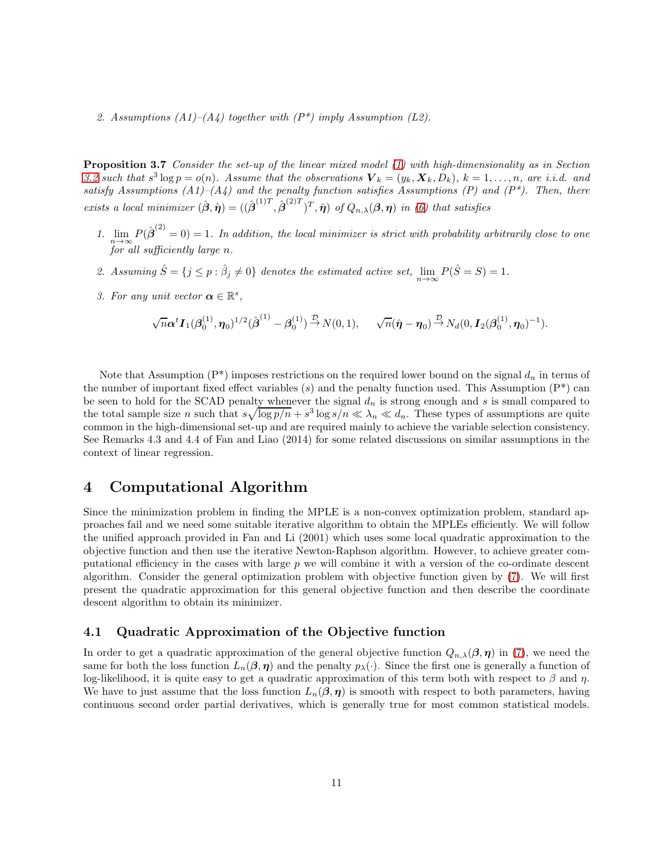2. Assumptions  $(A1)$ – $(A4)$  together with  $(P^*)$  imply Assumption (L2).

**Proposition 3.7** Consider the set-up of the linear mixed model [\(1\)](#page-0-0) with high-dimensionality as in Section [3.2](#page-6-1) such that  $s^3 \log p = o(n)$ . Assume that the observations  $\mathbf{V}_k = (y_k, \mathbf{X}_k, D_k)$ ,  $k = 1, \ldots, n$ , are i.i.d. and satisfy Assumptions (A1)–(A4) and the penalty function satisfies Assumptions (P) and  $(P^*)$ . Then, there exists a local minimizer  $(\hat{\boldsymbol{\beta}}, \hat{\boldsymbol{\eta}}) = ((\hat{\boldsymbol{\beta}}^{(1)T}, \hat{\boldsymbol{\beta}}^{(2)T})^T, \hat{\boldsymbol{\eta}})$  of  $Q_{n,\lambda}(\boldsymbol{\beta}, \boldsymbol{\eta})$  in [\(6\)](#page-4-1) that satisfies

- 1.  $\lim_{n\to\infty} P(\hat{\beta}^{(2)}=0)=1$ . In addition, the local minimizer is strict with probability arbitrarily close to one for all sufficiently large n.
- 2. Assuming  $\hat{S} = \{j \le p : \hat{\beta}_j \neq 0\}$  denotes the estimated active set,  $\lim_{n \to \infty} P(\hat{S} = S) = 1$ .
- 3. For any unit vector  $\boldsymbol{\alpha} \in \mathbb{R}^s$ ,

$$
\sqrt{n}\alpha^{t}\mathbf{I}_{1}(\beta_{0}^{(1)},\eta_{0})^{1/2}(\hat{\boldsymbol{\beta}}^{(1)}-\beta_{0}^{(1)}) \stackrel{\mathcal{D}}{\rightarrow} N(0,1), \qquad \sqrt{n}(\hat{\boldsymbol{\eta}}-\boldsymbol{\eta}_{0}) \stackrel{\mathcal{D}}{\rightarrow} N_{d}(0,\mathbf{I}_{2}(\beta_{0}^{(1)},\boldsymbol{\eta}_{0})^{-1}).
$$

Note that Assumption  $(P^*)$  imposes restrictions on the required lower bound on the signal  $d_n$  in terms of the number of important fixed effect variables (s) and the penalty function used. This Assumption  $(P^*)$  can be seen to hold for the SCAD penalty whenever the signal  $d_n$  is strong enough and s is small compared to the total sample size n such that  $s\sqrt{\log p/n} + s^3 \log s/n \ll \lambda_n \ll d_n$ . These types of assumptions are quite common in the high-dimensional set-up and are required mainly to achieve the variable selection consistency. See Remarks 4.3 and 4.4 of Fan and Liao (2014) for some related discussions on similar assumptions in the context of linear regression.

# <span id="page-10-0"></span>4 Computational Algorithm

Since the minimization problem in finding the MPLE is a non-convex optimization problem, standard approaches fail and we need some suitable iterative algorithm to obtain the MPLEs efficiently. We will follow the unified approach provided in Fan and Li (2001) which uses some local quadratic approximation to the objective function and then use the iterative Newton-Raphson algorithm. However, to achieve greater computational efficiency in the cases with large  $p$  we will combine it with a version of the co-ordinate descent algorithm. Consider the general optimization problem with objective function given by [\(7\)](#page-4-2). We will first present the quadratic approximation for this general objective function and then describe the coordinate descent algorithm to obtain its minimizer.

### 4.1 Quadratic Approximation of the Objective function

In order to get a quadratic approximation of the general objective function  $Q_{n,\lambda}(\beta,\eta)$  in [\(7\)](#page-4-2), we need the same for both the loss function  $L_n(\beta, \eta)$  and the penalty  $p_\lambda(\cdot)$ . Since the first one is generally a function of log-likelihood, it is quite easy to get a quadratic approximation of this term both with respect to  $\beta$  and  $\eta$ . We have to just assume that the loss function  $L_n(\beta, \eta)$  is smooth with respect to both parameters, having continuous second order partial derivatives, which is generally true for most common statistical models.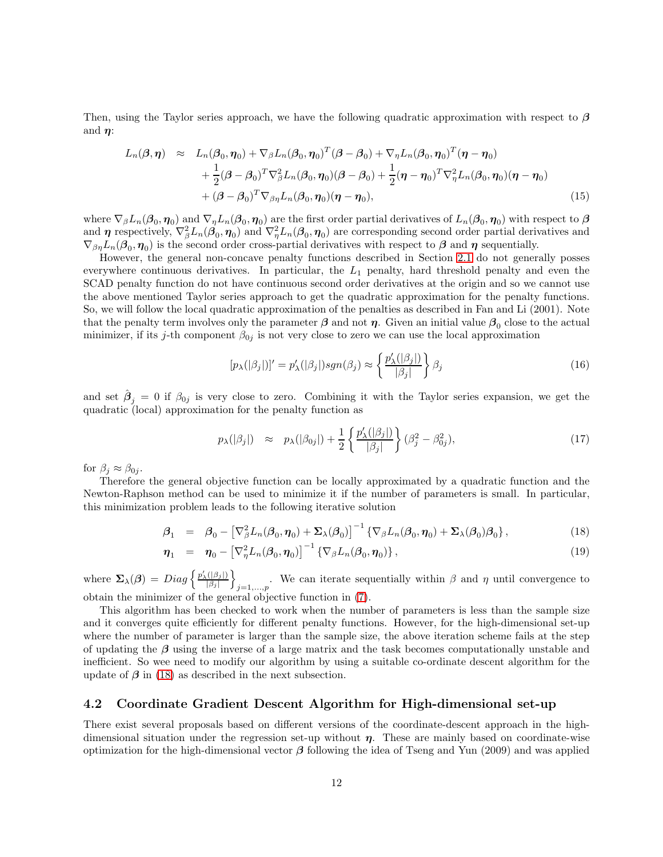Then, using the Taylor series approach, we have the following quadratic approximation with respect to  $\beta$ and  $\eta$ :

$$
L_n(\boldsymbol{\beta}, \boldsymbol{\eta}) \approx L_n(\boldsymbol{\beta}_0, \boldsymbol{\eta}_0) + \nabla_{\boldsymbol{\beta}} L_n(\boldsymbol{\beta}_0, \boldsymbol{\eta}_0)^T (\boldsymbol{\beta} - \boldsymbol{\beta}_0) + \nabla_{\boldsymbol{\eta}} L_n(\boldsymbol{\beta}_0, \boldsymbol{\eta}_0)^T (\boldsymbol{\eta} - \boldsymbol{\eta}_0) + \frac{1}{2} (\boldsymbol{\beta} - \boldsymbol{\beta}_0)^T \nabla_{\boldsymbol{\beta}}^2 L_n(\boldsymbol{\beta}_0, \boldsymbol{\eta}_0) (\boldsymbol{\beta} - \boldsymbol{\beta}_0) + \frac{1}{2} (\boldsymbol{\eta} - \boldsymbol{\eta}_0)^T \nabla_{\boldsymbol{\eta}}^2 L_n(\boldsymbol{\beta}_0, \boldsymbol{\eta}_0) (\boldsymbol{\eta} - \boldsymbol{\eta}_0) + (\boldsymbol{\beta} - \boldsymbol{\beta}_0)^T \nabla_{\boldsymbol{\beta}} L_n(\boldsymbol{\beta}_0, \boldsymbol{\eta}_0) (\boldsymbol{\eta} - \boldsymbol{\eta}_0),
$$
\n(15)

where  $\nabla_{\beta}L_n(\beta_0,\eta_0)$  and  $\nabla_{\eta}L_n(\beta_0,\eta_0)$  are the first order partial derivatives of  $L_n(\beta_0,\eta_0)$  with respect to  $\beta$ and  $\eta$  respectively,  $\nabla_{\beta}^2 L_n(\beta_0, \eta_0)$  and  $\nabla_{\eta}^2 L_n(\beta_0, \eta_0)$  are corresponding second order partial derivatives and  $\nabla_{\beta\eta}L_n(\beta_0,\eta_0)$  is the second order cross-partial derivatives with respect to  $\beta$  and  $\eta$  sequentially.

However, the general non-concave penalty functions described in Section [2.1](#page-2-1) do not generally posses everywhere continuous derivatives. In particular, the  $L_1$  penalty, hard threshold penalty and even the SCAD penalty function do not have continuous second order derivatives at the origin and so we cannot use the above mentioned Taylor series approach to get the quadratic approximation for the penalty functions. So, we will follow the local quadratic approximation of the penalties as described in Fan and Li (2001). Note that the penalty term involves only the parameter  $\beta$  and not  $\eta$ . Given an initial value  $\beta_0$  close to the actual minimizer, if its j-th component  $\beta_{0j}$  is not very close to zero we can use the local approximation

$$
[p_{\lambda}(|\beta_j|)]' = p'_{\lambda}(|\beta_j|)sgn(\beta_j) \approx \left\{ \frac{p'_{\lambda}(|\beta_j|)}{|\beta_j|} \right\} \beta_j
$$
\n(16)

and set  $\hat{\beta}_j = 0$  if  $\beta_{0j}$  is very close to zero. Combining it with the Taylor series expansion, we get the quadratic (local) approximation for the penalty function as

$$
p_{\lambda}(|\beta_j|) \approx p_{\lambda}(|\beta_{0j}|) + \frac{1}{2} \left\{ \frac{p'_{\lambda}(|\beta_j|)}{|\beta_j|} \right\} (\beta_j^2 - \beta_{0j}^2), \tag{17}
$$

for  $\beta_j \approx \beta_{0j}$ .

Therefore the general objective function can be locally approximated by a quadratic function and the Newton-Raphson method can be used to minimize it if the number of parameters is small. In particular, this minimization problem leads to the following iterative solution

<span id="page-11-0"></span>
$$
\beta_1 = \beta_0 - \left[\nabla_{\beta}^2 L_n(\beta_0, \boldsymbol{\eta}_0) + \Sigma_{\lambda}(\beta_0)\right]^{-1} \left\{\nabla_{\beta} L_n(\beta_0, \boldsymbol{\eta}_0) + \Sigma_{\lambda}(\beta_0)\beta_0\right\},\tag{18}
$$

$$
\boldsymbol{\eta}_1 = \boldsymbol{\eta}_0 - \left[\nabla_{\eta}^2 L_n(\boldsymbol{\beta}_0, \boldsymbol{\eta}_0)\right]^{-1} \left\{\nabla_{\beta} L_n(\boldsymbol{\beta}_0, \boldsymbol{\eta}_0)\right\},\tag{19}
$$

where  $\Sigma_{\lambda}(\beta) = Diag \left\{ \frac{p'_{\lambda}(|\beta_j|)}{|\beta_j|} \right\}$  $\mathfrak{d}$ . We can iterate sequentially within  $\beta$  and  $\eta$  until convergence to obtain the minimizer of the general objective function in [\(7\)](#page-4-2).

This algorithm has been checked to work when the number of parameters is less than the sample size and it converges quite efficiently for different penalty functions. However, for the high-dimensional set-up where the number of parameter is larger than the sample size, the above iteration scheme fails at the step of updating the  $\beta$  using the inverse of a large matrix and the task becomes computationally unstable and inefficient. So wee need to modify our algorithm by using a suitable co-ordinate descent algorithm for the update of  $\beta$  in [\(18\)](#page-11-0) as described in the next subsection.

### 4.2 Coordinate Gradient Descent Algorithm for High-dimensional set-up

There exist several proposals based on different versions of the coordinate-descent approach in the highdimensional situation under the regression set-up without  $\eta$ . These are mainly based on coordinate-wise optimization for the high-dimensional vector  $\beta$  following the idea of Tseng and Yun (2009) and was applied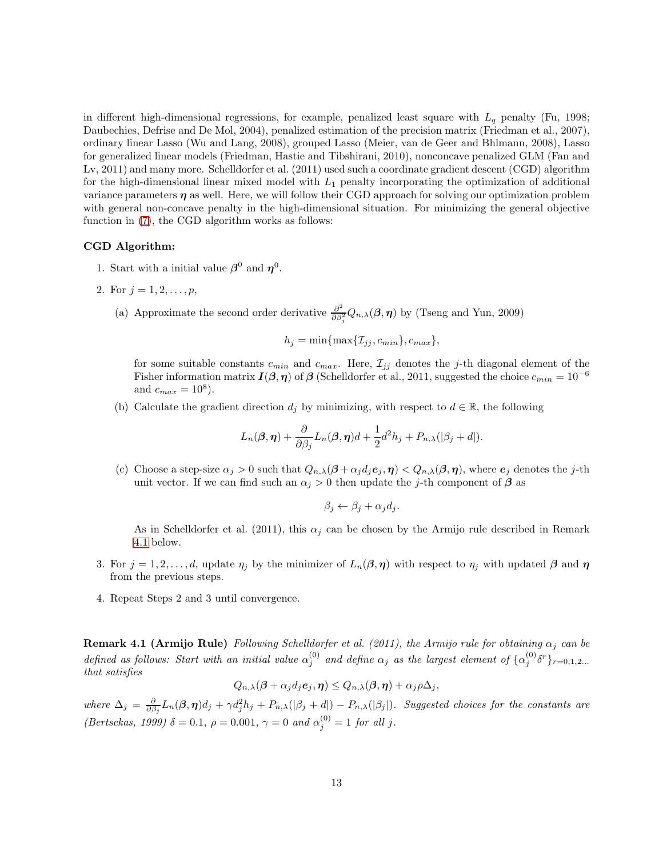in different high-dimensional regressions, for example, penalized least square with  $L_q$  penalty (Fu, 1998; Daubechies, Defrise and De Mol, 2004), penalized estimation of the precision matrix (Friedman et al., 2007), ordinary linear Lasso (Wu and Lang, 2008), grouped Lasso (Meier, van de Geer and Bhlmann, 2008), Lasso for generalized linear models (Friedman, Hastie and Tibshirani, 2010), nonconcave penalized GLM (Fan and Lv, 2011) and many more. Schelldorfer et al. (2011) used such a coordinate gradient descent (CGD) algorithm for the high-dimensional linear mixed model with  $L_1$  penalty incorporating the optimization of additional variance parameters  $\eta$  as well. Here, we will follow their CGD approach for solving our optimization problem with general non-concave penalty in the high-dimensional situation. For minimizing the general objective function in [\(7\)](#page-4-2), the CGD algorithm works as follows:

#### CGD Algorithm:

- 1. Start with a initial value  $\beta^0$  and  $\eta^0$ .
- 2. For  $j = 1, 2, ..., p$ ,
	- (a) Approximate the second order derivative  $\frac{\partial^2}{\partial s^2}$  $\frac{\partial^2}{\partial \beta_j^2} Q_{n,\lambda}(\boldsymbol{\beta}, \boldsymbol{\eta})$  by (Tseng and Yun, 2009)

 $h_i = \min\{\max\{\mathcal{I}_{ij}, c_{min}\}, c_{max}\},$ 

for some suitable constants  $c_{min}$  and  $c_{max}$ . Here,  $\mathcal{I}_{ij}$  denotes the j-th diagonal element of the Fisher information matrix  $I(\beta, \eta)$  of  $\beta$  (Schelldorfer et al., 2011, suggested the choice  $c_{min} = 10^{-6}$ and  $c_{max} = 10^8$ ).

(b) Calculate the gradient direction  $d_i$  by minimizing, with respect to  $d \in \mathbb{R}$ , the following

$$
L_n(\boldsymbol{\beta},\boldsymbol{\eta}) + \frac{\partial}{\partial \beta_j} L_n(\boldsymbol{\beta},\boldsymbol{\eta})d + \frac{1}{2}d^2h_j + P_{n,\lambda}(|\beta_j + d|).
$$

(c) Choose a step-size  $\alpha_j > 0$  such that  $Q_{n,\lambda}(\beta + \alpha_j d_j e_j, \eta) < Q_{n,\lambda}(\beta, \eta)$ , where  $e_j$  denotes the j-th unit vector. If we can find such an  $\alpha_i > 0$  then update the j-th component of  $\beta$  as

$$
\beta_j \leftarrow \beta_j + \alpha_j d_j.
$$

As in Schelldorfer et al. (2011), this  $\alpha_j$  can be chosen by the Armijo rule described in Remark [4.1](#page-12-0) below.

- 3. For  $j = 1, 2, \ldots, d$ , update  $\eta_j$  by the minimizer of  $L_n(\beta, \eta)$  with respect to  $\eta_j$  with updated  $\beta$  and  $\eta$ from the previous steps.
- 4. Repeat Steps 2 and 3 until convergence.

<span id="page-12-0"></span>**Remark 4.1 (Armijo Rule)** Following Schelldorfer et al. (2011), the Armijo rule for obtaining  $\alpha_i$  can be defined as follows: Start with an initial value  $\alpha_j^{(0)}$  and define  $\alpha_j$  as the largest element of  $\{\alpha_j^{(0)}\delta^r\}_{r=0,1,2...}$ that satisfies

$$
Q_{n,\lambda}(\boldsymbol{\beta} + \alpha_j d_j e_j, \boldsymbol{\eta}) \leq Q_{n,\lambda}(\boldsymbol{\beta}, \boldsymbol{\eta}) + \alpha_j \rho \Delta_j,
$$

where  $\Delta_j = \frac{\partial}{\partial \beta_j} L_n(\beta, \eta) d_j + \gamma d_j^2 h_j + P_{n,\lambda}(|\beta_j + d|) - P_{n,\lambda}(|\beta_j|)$ . Suggested choices for the constants are (Bertsekas, 1999)  $\delta = 0.1$ ,  $\rho = 0.001$ ,  $\gamma = 0$  and  $\alpha_j^{(0)} = 1$  for all j.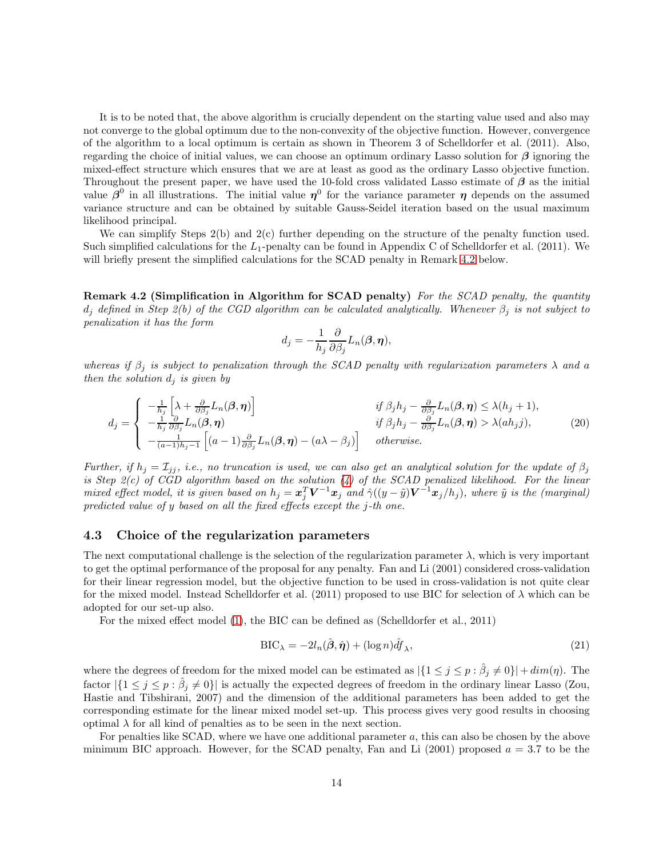It is to be noted that, the above algorithm is crucially dependent on the starting value used and also may not converge to the global optimum due to the non-convexity of the objective function. However, convergence of the algorithm to a local optimum is certain as shown in Theorem 3 of Schelldorfer et al. (2011). Also, regarding the choice of initial values, we can choose an optimum ordinary Lasso solution for  $\beta$  ignoring the mixed-effect structure which ensures that we are at least as good as the ordinary Lasso objective function. Throughout the present paper, we have used the 10-fold cross validated Lasso estimate of  $\beta$  as the initial value  $\beta^0$  in all illustrations. The initial value  $\eta^0$  for the variance parameter  $\eta$  depends on the assumed variance structure and can be obtained by suitable Gauss-Seidel iteration based on the usual maximum likelihood principal.

We can simplify Steps 2(b) and 2(c) further depending on the structure of the penalty function used. Such simplified calculations for the  $L_1$ -penalty can be found in Appendix C of Schelldorfer et al. (2011). We will briefly present the simplified calculations for the SCAD penalty in Remark [4.2](#page-13-0) below.

<span id="page-13-0"></span>Remark 4.2 (Simplification in Algorithm for SCAD penalty) For the SCAD penalty, the quantity  $d_i$  defined in Step 2(b) of the CGD algorithm can be calculated analytically. Whenever  $\beta_i$  is not subject to penalization it has the form

$$
d_j = -\frac{1}{h_j} \frac{\partial}{\partial \beta_j} L_n(\boldsymbol{\beta}, \boldsymbol{\eta}),
$$

whereas if  $\beta_j$  is subject to penalization through the SCAD penalty with regularization parameters  $\lambda$  and a then the solution  $d_i$  is given by

$$
d_j = \begin{cases} -\frac{1}{h_j} \left[ \lambda + \frac{\partial}{\partial \beta_j} L_n(\beta, \eta) \right] & \text{if } \beta_j h_j - \frac{\partial}{\partial \beta_j} L_n(\beta, \eta) \le \lambda(h_j + 1), \\ -\frac{1}{h_j} \frac{\partial}{\partial \beta_j} L_n(\beta, \eta) & \text{if } \beta_j h_j - \frac{\partial}{\partial \beta_j} L_n(\beta, \eta) > \lambda(ah_j j), \\ -\frac{1}{(a-1)h_j - 1} \left[ (a-1) \frac{\partial}{\partial \beta_j} L_n(\beta, \eta) - (a\lambda - \beta_j) \right] & \text{otherwise.} \end{cases}
$$
(20)

Further, if  $h_j = \mathcal{I}_{jj}$ , i.e., no truncation is used, we can also get an analytical solution for the update of  $\beta_j$ is Step  $2(c)$  of CGD algorithm based on the solution [\(4\)](#page-3-1) of the SCAD penalized likelihood. For the linear mixed effect model, it is given based on  $h_j = \boldsymbol{x}_j^T \boldsymbol{V}^{-1} \boldsymbol{x}_j$  and  $\hat{\gamma}((y - \tilde{y}) \boldsymbol{V}^{-1} \boldsymbol{x}_j/h_j)$ , where  $\tilde{y}$  is the (marginal) predicted value of y based on all the fixed effects except the j-th one.

#### 4.3 Choice of the regularization parameters

The next computational challenge is the selection of the regularization parameter  $\lambda$ , which is very important to get the optimal performance of the proposal for any penalty. Fan and Li (2001) considered cross-validation for their linear regression model, but the objective function to be used in cross-validation is not quite clear for the mixed model. Instead Schelldorfer et al. (2011) proposed to use BIC for selection of  $\lambda$  which can be adopted for our set-up also.

For the mixed effect model [\(1\)](#page-0-0), the BIC can be defined as (Schelldorfer et al., 2011)

$$
\text{BIC}_{\lambda} = -2l_n(\hat{\boldsymbol{\beta}}, \hat{\boldsymbol{\eta}}) + (\log n)\hat{df}_{\lambda},\tag{21}
$$

where the degrees of freedom for the mixed model can be estimated as  $|\{1 \leq j \leq p : \hat{\beta}_j \neq 0\}| + dim(\eta)$ . The factor  $|\{1 \le j \le p : \hat{\beta}_j \ne 0\}|$  is actually the expected degrees of freedom in the ordinary linear Lasso (Zou, Hastie and Tibshirani, 2007) and the dimension of the additional parameters has been added to get the corresponding estimate for the linear mixed model set-up. This process gives very good results in choosing optimal  $\lambda$  for all kind of penalties as to be seen in the next section.

For penalties like SCAD, where we have one additional parameter a, this can also be chosen by the above minimum BIC approach. However, for the SCAD penalty, Fan and Li  $(2001)$  proposed  $a = 3.7$  to be the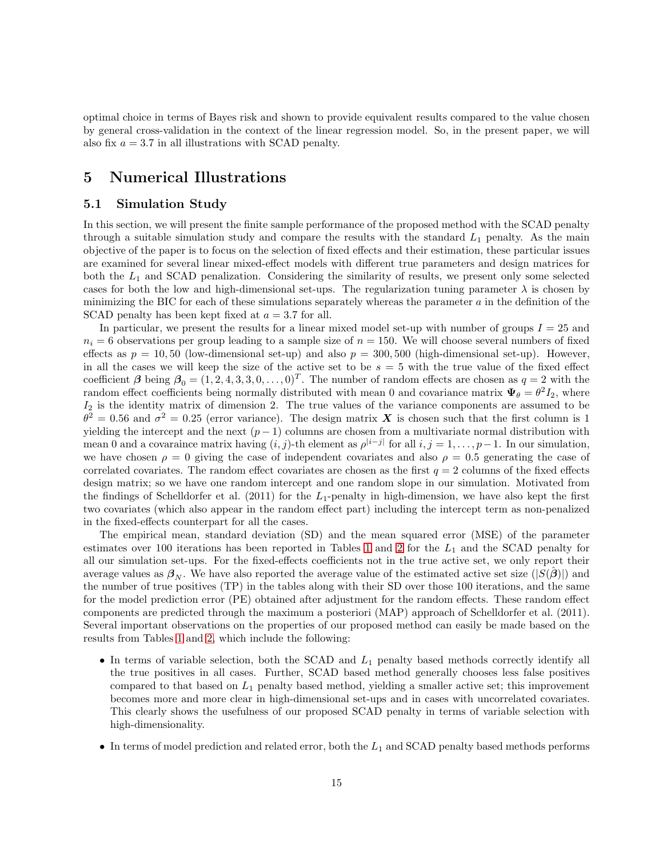optimal choice in terms of Bayes risk and shown to provide equivalent results compared to the value chosen by general cross-validation in the context of the linear regression model. So, in the present paper, we will also fix  $a = 3.7$  in all illustrations with SCAD penalty.

# <span id="page-14-0"></span>5 Numerical Illustrations

### 5.1 Simulation Study

In this section, we will present the finite sample performance of the proposed method with the SCAD penalty through a suitable simulation study and compare the results with the standard  $L_1$  penalty. As the main objective of the paper is to focus on the selection of fixed effects and their estimation, these particular issues are examined for several linear mixed-effect models with different true parameters and design matrices for both the  $L_1$  and SCAD penalization. Considering the similarity of results, we present only some selected cases for both the low and high-dimensional set-ups. The regularization tuning parameter  $\lambda$  is chosen by minimizing the BIC for each of these simulations separately whereas the parameter  $a$  in the definition of the SCAD penalty has been kept fixed at  $a = 3.7$  for all.

In particular, we present the results for a linear mixed model set-up with number of groups  $I = 25$  and  $n_i = 6$  observations per group leading to a sample size of  $n = 150$ . We will choose several numbers of fixed effects as  $p = 10, 50$  (low-dimensional set-up) and also  $p = 300, 500$  (high-dimensional set-up). However, in all the cases we will keep the size of the active set to be  $s = 5$  with the true value of the fixed effect coefficient  $\beta$  being  $\beta_0 = (1, 2, 4, 3, 3, 0, \dots, 0)^T$ . The number of random effects are chosen as  $q = 2$  with the random effect coefficients being normally distributed with mean 0 and covariance matrix  $\Psi_{\theta} = \theta^2 I_2$ , where  $I_2$  is the identity matrix of dimension 2. The true values of the variance components are assumed to be  $\theta^2 = 0.56$  and  $\sigma^2 = 0.25$  (error variance). The design matrix X is chosen such that the first column is 1 yielding the intercept and the next  $(p-1)$  columns are chosen from a multivariate normal distribution with mean 0 and a covaraince matrix having  $(i, j)$ -th element as  $\rho^{|i-j|}$  for all  $i, j = 1, ..., p-1$ . In our simulation, we have chosen  $\rho = 0$  giving the case of independent covariates and also  $\rho = 0.5$  generating the case of correlated covariates. The random effect covariates are chosen as the first  $q = 2$  columns of the fixed effects design matrix; so we have one random intercept and one random slope in our simulation. Motivated from the findings of Schelldorfer et al. (2011) for the  $L_1$ -penalty in high-dimension, we have also kept the first two covariates (which also appear in the random effect part) including the intercept term as non-penalized in the fixed-effects counterpart for all the cases.

The empirical mean, standard deviation (SD) and the mean squared error (MSE) of the parameter estimates over [1](#page-22-0)00 iterations has been reported in Tables 1 and [2](#page-23-0) for the  $L_1$  and the SCAD penalty for all our simulation set-ups. For the fixed-effects coefficients not in the true active set, we only report their average values as  $\beta_N$ . We have also reported the average value of the estimated active set size ( $|S(\beta)|$ ) and the number of true positives (TP) in the tables along with their SD over those 100 iterations, and the same for the model prediction error (PE) obtained after adjustment for the random effects. These random effect components are predicted through the maximum a posteriori (MAP) approach of Schelldorfer et al. (2011). Several important observations on the properties of our proposed method can easily be made based on the results from Tables [1](#page-22-0) and [2,](#page-23-0) which include the following:

- In terms of variable selection, both the SCAD and  $L_1$  penalty based methods correctly identify all the true positives in all cases. Further, SCAD based method generally chooses less false positives compared to that based on  $L_1$  penalty based method, yielding a smaller active set; this improvement becomes more and more clear in high-dimensional set-ups and in cases with uncorrelated covariates. This clearly shows the usefulness of our proposed SCAD penalty in terms of variable selection with high-dimensionality.
- In terms of model prediction and related error, both the  $L_1$  and SCAD penalty based methods performs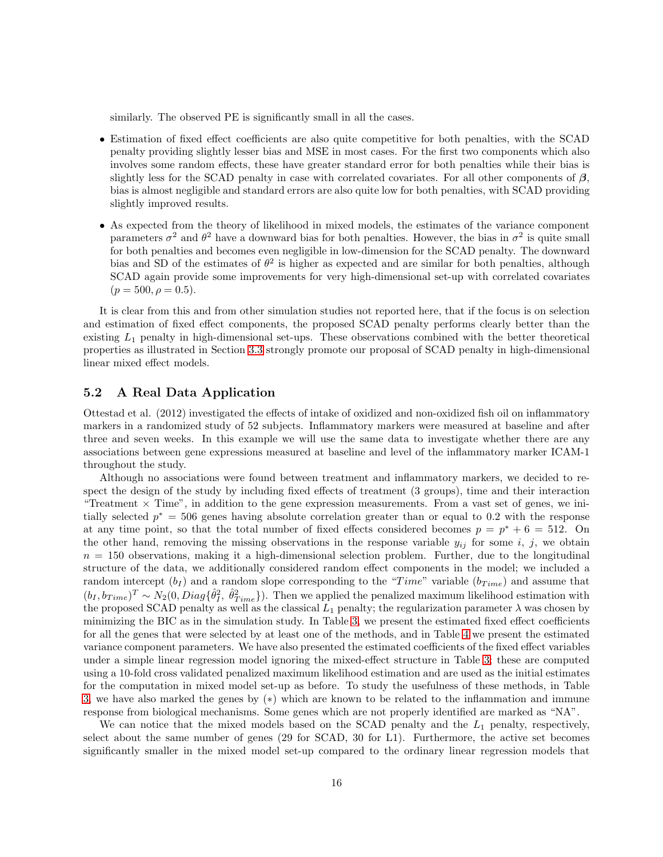similarly. The observed PE is significantly small in all the cases.

- Estimation of fixed effect coefficients are also quite competitive for both penalties, with the SCAD penalty providing slightly lesser bias and MSE in most cases. For the first two components which also involves some random effects, these have greater standard error for both penalties while their bias is slightly less for the SCAD penalty in case with correlated covariates. For all other components of  $\beta$ , bias is almost negligible and standard errors are also quite low for both penalties, with SCAD providing slightly improved results.
- As expected from the theory of likelihood in mixed models, the estimates of the variance component parameters  $\sigma^2$  and  $\theta^2$  have a downward bias for both penalties. However, the bias in  $\sigma^2$  is quite small for both penalties and becomes even negligible in low-dimension for the SCAD penalty. The downward bias and SD of the estimates of  $\theta^2$  is higher as expected and are similar for both penalties, although SCAD again provide some improvements for very high-dimensional set-up with correlated covariates  $(p = 500, \rho = 0.5).$

It is clear from this and from other simulation studies not reported here, that if the focus is on selection and estimation of fixed effect components, the proposed SCAD penalty performs clearly better than the existing  $L_1$  penalty in high-dimensional set-ups. These observations combined with the better theoretical properties as illustrated in Section [3.3](#page-8-0) strongly promote our proposal of SCAD penalty in high-dimensional linear mixed effect models.

### 5.2 A Real Data Application

Ottestad et al. (2012) investigated the effects of intake of oxidized and non-oxidized fish oil on inflammatory markers in a randomized study of 52 subjects. Inflammatory markers were measured at baseline and after three and seven weeks. In this example we will use the same data to investigate whether there are any associations between gene expressions measured at baseline and level of the inflammatory marker ICAM-1 throughout the study.

Although no associations were found between treatment and inflammatory markers, we decided to respect the design of the study by including fixed effects of treatment (3 groups), time and their interaction "Treatment  $\times$  Time", in addition to the gene expression measurements. From a vast set of genes, we initially selected  $p^* = 506$  genes having absolute correlation greater than or equal to 0.2 with the response at any time point, so that the total number of fixed effects considered becomes  $p = p^* + 6 = 512$ . On the other hand, removing the missing observations in the response variable  $y_{ij}$  for some i, j, we obtain  $n = 150$  observations, making it a high-dimensional selection problem. Further, due to the longitudinal structure of the data, we additionally considered random effect components in the model; we included a random intercept  $(b_I)$  and a random slope corresponding to the "Time" variable  $(b_{Time})$  and assume that  $(b_I, b_{Time})^T \sim N_2(0, Diag\{\hat{\theta}_I^2, \hat{\theta}_{Time}^2\})$ . Then we applied the penalized maximum likelihood estimation with the proposed SCAD penalty as well as the classical  $L_1$  penalty; the regularization parameter  $\lambda$  was chosen by minimizing the BIC as in the simulation study. In Table [3,](#page-24-0) we present the estimated fixed effect coefficients for all the genes that were selected by at least one of the methods, and in Table [4](#page-24-1) we present the estimated variance component parameters. We have also presented the estimated coefficients of the fixed effect variables under a simple linear regression model ignoring the mixed-effect structure in Table [3;](#page-24-0) these are computed using a 10-fold cross validated penalized maximum likelihood estimation and are used as the initial estimates for the computation in mixed model set-up as before. To study the usefulness of these methods, in Table [3,](#page-24-0) we have also marked the genes by (∗) which are known to be related to the inflammation and immune response from biological mechanisms. Some genes which are not properly identified are marked as "NA".

We can notice that the mixed models based on the SCAD penalty and the  $L_1$  penalty, respectively, select about the same number of genes (29 for SCAD, 30 for L1). Furthermore, the active set becomes significantly smaller in the mixed model set-up compared to the ordinary linear regression models that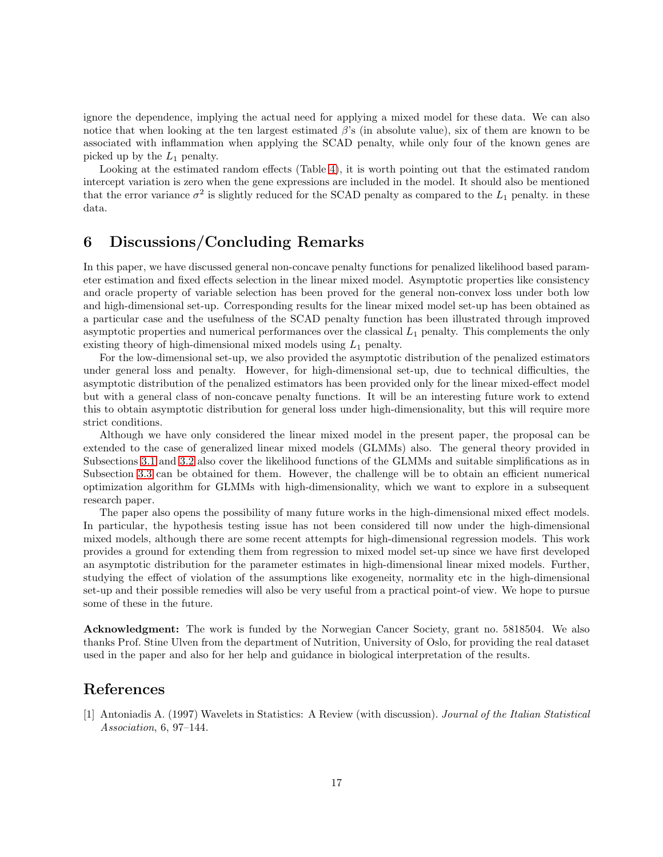ignore the dependence, implying the actual need for applying a mixed model for these data. We can also notice that when looking at the ten largest estimated  $\beta$ 's (in absolute value), six of them are known to be associated with inflammation when applying the SCAD penalty, while only four of the known genes are picked up by the  $L_1$  penalty.

Looking at the estimated random effects (Table [4\)](#page-24-1), it is worth pointing out that the estimated random intercept variation is zero when the gene expressions are included in the model. It should also be mentioned that the error variance  $\sigma^2$  is slightly reduced for the SCAD penalty as compared to the  $L_1$  penalty. in these data.

# <span id="page-16-0"></span>6 Discussions/Concluding Remarks

In this paper, we have discussed general non-concave penalty functions for penalized likelihood based parameter estimation and fixed effects selection in the linear mixed model. Asymptotic properties like consistency and oracle property of variable selection has been proved for the general non-convex loss under both low and high-dimensional set-up. Corresponding results for the linear mixed model set-up has been obtained as a particular case and the usefulness of the SCAD penalty function has been illustrated through improved asymptotic properties and numerical performances over the classical  $L_1$  penalty. This complements the only existing theory of high-dimensional mixed models using  $L_1$  penalty.

For the low-dimensional set-up, we also provided the asymptotic distribution of the penalized estimators under general loss and penalty. However, for high-dimensional set-up, due to technical difficulties, the asymptotic distribution of the penalized estimators has been provided only for the linear mixed-effect model but with a general class of non-concave penalty functions. It will be an interesting future work to extend this to obtain asymptotic distribution for general loss under high-dimensionality, but this will require more strict conditions.

Although we have only considered the linear mixed model in the present paper, the proposal can be extended to the case of generalized linear mixed models (GLMMs) also. The general theory provided in Subsections [3.1](#page-4-3) and [3.2](#page-6-1) also cover the likelihood functions of the GLMMs and suitable simplifications as in Subsection [3.3](#page-8-0) can be obtained for them. However, the challenge will be to obtain an efficient numerical optimization algorithm for GLMMs with high-dimensionality, which we want to explore in a subsequent research paper.

The paper also opens the possibility of many future works in the high-dimensional mixed effect models. In particular, the hypothesis testing issue has not been considered till now under the high-dimensional mixed models, although there are some recent attempts for high-dimensional regression models. This work provides a ground for extending them from regression to mixed model set-up since we have first developed an asymptotic distribution for the parameter estimates in high-dimensional linear mixed models. Further, studying the effect of violation of the assumptions like exogeneity, normality etc in the high-dimensional set-up and their possible remedies will also be very useful from a practical point-of view. We hope to pursue some of these in the future.

Acknowledgment: The work is funded by the Norwegian Cancer Society, grant no. 5818504. We also thanks Prof. Stine Ulven from the department of Nutrition, University of Oslo, for providing the real dataset used in the paper and also for her help and guidance in biological interpretation of the results.

# References

[1] Antoniadis A. (1997) Wavelets in Statistics: A Review (with discussion). Journal of the Italian Statistical Association, 6, 97–144.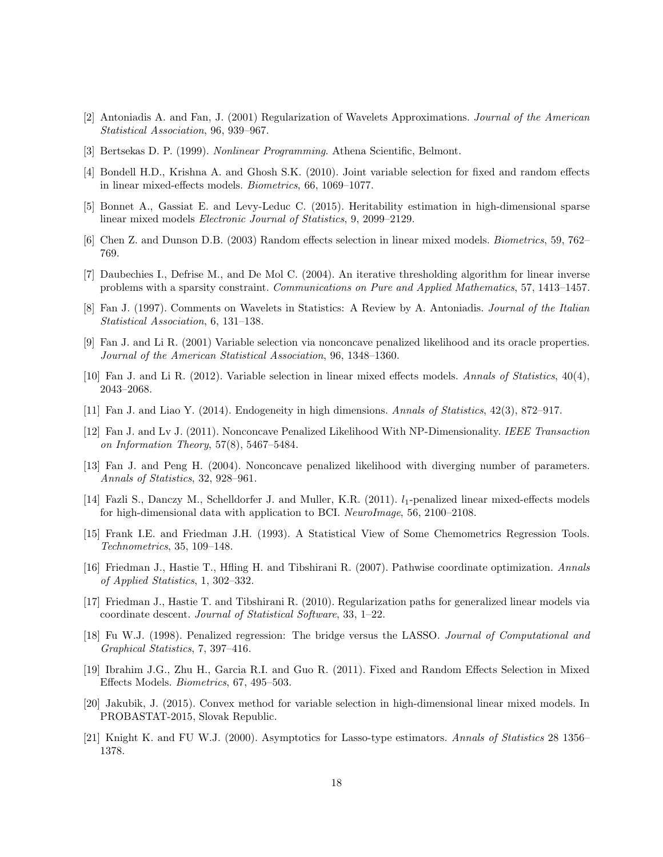- [2] Antoniadis A. and Fan, J. (2001) Regularization of Wavelets Approximations. Journal of the American Statistical Association, 96, 939–967.
- [3] Bertsekas D. P. (1999). Nonlinear Programming. Athena Scientific, Belmont.
- [4] Bondell H.D., Krishna A. and Ghosh S.K. (2010). Joint variable selection for fixed and random effects in linear mixed-effects models. Biometrics, 66, 1069–1077.
- [5] Bonnet A., Gassiat E. and Levy-Leduc C. (2015). Heritability estimation in high-dimensional sparse linear mixed models Electronic Journal of Statistics, 9, 2099–2129.
- [6] Chen Z. and Dunson D.B. (2003) Random effects selection in linear mixed models. Biometrics, 59, 762– 769.
- [7] Daubechies I., Defrise M., and De Mol C. (2004). An iterative thresholding algorithm for linear inverse problems with a sparsity constraint. Communications on Pure and Applied Mathematics, 57, 1413–1457.
- [8] Fan J. (1997). Comments on Wavelets in Statistics: A Review by A. Antoniadis. *Journal of the Italian* Statistical Association, 6, 131–138.
- [9] Fan J. and Li R. (2001) Variable selection via nonconcave penalized likelihood and its oracle properties. Journal of the American Statistical Association, 96, 1348–1360.
- [10] Fan J. and Li R. (2012). Variable selection in linear mixed effects models. Annals of Statistics, 40(4), 2043–2068.
- [11] Fan J. and Liao Y. (2014). Endogeneity in high dimensions. Annals of Statistics, 42(3), 872–917.
- [12] Fan J. and Lv J. (2011). Nonconcave Penalized Likelihood With NP-Dimensionality. IEEE Transaction on Information Theory, 57(8), 5467–5484.
- [13] Fan J. and Peng H. (2004). Nonconcave penalized likelihood with diverging number of parameters. Annals of Statistics, 32, 928–961.
- [14] Fazli S., Danczy M., Schelldorfer J. and Muller, K.R. (2011).  $l_1$ -penalized linear mixed-effects models for high-dimensional data with application to BCI. NeuroImage, 56, 2100–2108.
- [15] Frank I.E. and Friedman J.H. (1993). A Statistical View of Some Chemometrics Regression Tools. Technometrics, 35, 109–148.
- [16] Friedman J., Hastie T., Hfling H. and Tibshirani R. (2007). Pathwise coordinate optimization. Annals of Applied Statistics, 1, 302–332.
- [17] Friedman J., Hastie T. and Tibshirani R. (2010). Regularization paths for generalized linear models via coordinate descent. Journal of Statistical Software, 33, 1–22.
- [18] Fu W.J. (1998). Penalized regression: The bridge versus the LASSO. Journal of Computational and Graphical Statistics, 7, 397–416.
- [19] Ibrahim J.G., Zhu H., Garcia R.I. and Guo R. (2011). Fixed and Random Effects Selection in Mixed Effects Models. Biometrics, 67, 495–503.
- [20] Jakubik, J. (2015). Convex method for variable selection in high-dimensional linear mixed models. In PROBASTAT-2015, Slovak Republic.
- [21] Knight K. and FU W.J. (2000). Asymptotics for Lasso-type estimators. Annals of Statistics 28 1356– 1378.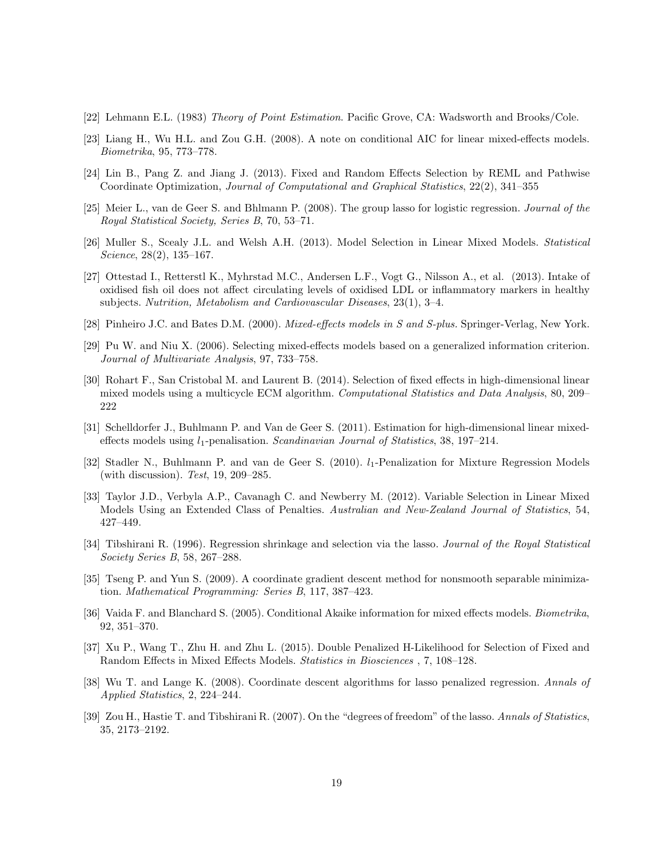- [22] Lehmann E.L. (1983) Theory of Point Estimation. Pacific Grove, CA: Wadsworth and Brooks/Cole.
- [23] Liang H., Wu H.L. and Zou G.H. (2008). A note on conditional AIC for linear mixed-effects models. Biometrika, 95, 773–778.
- [24] Lin B., Pang Z. and Jiang J. (2013). Fixed and Random Effects Selection by REML and Pathwise Coordinate Optimization, Journal of Computational and Graphical Statistics, 22(2), 341–355
- [25] Meier L., van de Geer S. and Bhlmann P. (2008). The group lasso for logistic regression. *Journal of the* Royal Statistical Society, Series B, 70, 53–71.
- [26] Muller S., Scealy J.L. and Welsh A.H. (2013). Model Selection in Linear Mixed Models. Statistical Science, 28(2), 135–167.
- [27] Ottestad I., Retterstl K., Myhrstad M.C., Andersen L.F., Vogt G., Nilsson A., et al. (2013). Intake of oxidised fish oil does not affect circulating levels of oxidised LDL or inflammatory markers in healthy subjects. Nutrition, Metabolism and Cardiovascular Diseases, 23(1), 3–4.
- [28] Pinheiro J.C. and Bates D.M. (2000). *Mixed-effects models in S and S-plus*. Springer-Verlag, New York.
- [29] Pu W. and Niu X. (2006). Selecting mixed-effects models based on a generalized information criterion. Journal of Multivariate Analysis, 97, 733–758.
- [30] Rohart F., San Cristobal M. and Laurent B. (2014). Selection of fixed effects in high-dimensional linear mixed models using a multicycle ECM algorithm. Computational Statistics and Data Analysis, 80, 209– 222
- [31] Schelldorfer J., Buhlmann P. and Van de Geer S. (2011). Estimation for high-dimensional linear mixedeffects models using  $l_1$ -penalisation. Scandinavian Journal of Statistics, 38, 197–214.
- [32] Stadler N., Buhlmann P. and van de Geer S. (2010).  $l_1$ -Penalization for Mixture Regression Models (with discussion). Test, 19, 209–285.
- [33] Taylor J.D., Verbyla A.P., Cavanagh C. and Newberry M. (2012). Variable Selection in Linear Mixed Models Using an Extended Class of Penalties. Australian and New-Zealand Journal of Statistics, 54, 427–449.
- [34] Tibshirani R. (1996). Regression shrinkage and selection via the lasso. Journal of the Royal Statistical Society Series B, 58, 267–288.
- [35] Tseng P. and Yun S. (2009). A coordinate gradient descent method for nonsmooth separable minimization. Mathematical Programming: Series B, 117, 387–423.
- [36] Vaida F. and Blanchard S. (2005). Conditional Akaike information for mixed effects models. Biometrika, 92, 351–370.
- [37] Xu P., Wang T., Zhu H. and Zhu L. (2015). Double Penalized H-Likelihood for Selection of Fixed and Random Effects in Mixed Effects Models. Statistics in Biosciences , 7, 108–128.
- [38] Wu T. and Lange K. (2008). Coordinate descent algorithms for lasso penalized regression. Annals of Applied Statistics, 2, 224–244.
- [39] Zou H., Hastie T. and Tibshirani R. (2007). On the "degrees of freedom" of the lasso. Annals of Statistics, 35, 2173–2192.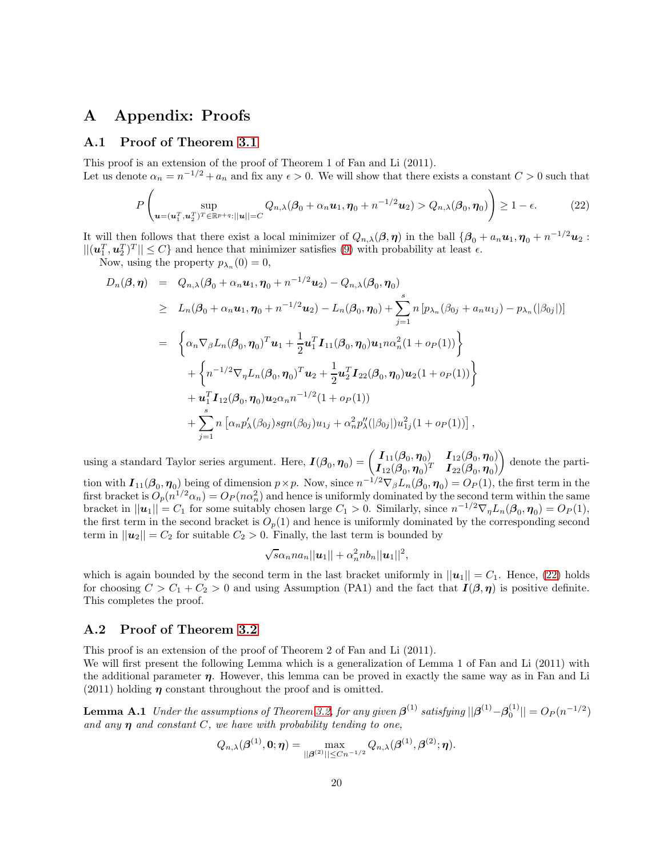# A Appendix: Proofs

### A.1 Proof of Theorem [3.1](#page-5-0)

This proof is an extension of the proof of Theorem 1 of Fan and Li (2011). Let us denote  $\alpha_n = n^{-1/2} + a_n$  and fix any  $\epsilon > 0$ . We will show that there exists a constant  $C > 0$  such that

<span id="page-19-0"></span>
$$
P\left(\sup_{\boldsymbol{u}=(\boldsymbol{u}_1^T,\boldsymbol{u}_2^T)^T\in\mathbb{R}^{p+q}:||\boldsymbol{u}||=C}Q_{n,\lambda}(\boldsymbol{\beta}_0+\alpha_n\boldsymbol{u}_1,\boldsymbol{\eta}_0+n^{-1/2}\boldsymbol{u}_2)>Q_{n,\lambda}(\boldsymbol{\beta}_0,\boldsymbol{\eta}_0)\right)\geq 1-\epsilon.
$$
 (22)

It will then follows that there exist a local minimizer of  $Q_{n,\lambda}(\boldsymbol{\beta}, \boldsymbol{\eta})$  in the ball  $\{\boldsymbol{\beta}_0 + a_n \boldsymbol{u}_1, \boldsymbol{\eta}_0 + n^{-1/2} \boldsymbol{u}_2 :$  $||(\mathbf{u}_1^T, \mathbf{u}_2^T)^T|| \leq C$  and hence that minimizer satisfies [\(9\)](#page-5-0) with probability at least  $\epsilon$ .

Now, using the property  $p_{\lambda_n}(0) = 0$ ,

$$
D_n(\beta, \eta) = Q_{n,\lambda}(\beta_0 + \alpha_n u_1, \eta_0 + n^{-1/2} u_2) - Q_{n,\lambda}(\beta_0, \eta_0)
$$
  
\n
$$
\geq L_n(\beta_0 + \alpha_n u_1, \eta_0 + n^{-1/2} u_2) - L_n(\beta_0, \eta_0) + \sum_{j=1}^s n \left[ p_{\lambda_n}(\beta_{0j} + a_n u_{1j}) - p_{\lambda_n}(|\beta_{0j}|) \right]
$$
  
\n
$$
= \left\{ \alpha_n \nabla_{\beta} L_n(\beta_0, \eta_0)^T u_1 + \frac{1}{2} u_1^T I_{11}(\beta_0, \eta_0) u_1 n \alpha_n^2 (1 + o_P(1)) \right\}
$$
  
\n
$$
+ \left\{ n^{-1/2} \nabla_{\eta} L_n(\beta_0, \eta_0)^T u_2 + \frac{1}{2} u_2^T I_{22}(\beta_0, \eta_0) u_2 (1 + o_P(1)) \right\}
$$
  
\n
$$
+ u_1^T I_{12}(\beta_0, \eta_0) u_2 \alpha_n n^{-1/2} (1 + o_P(1))
$$
  
\n
$$
+ \sum_{j=1}^s n \left[ \alpha_n p'_{\lambda}(\beta_{0j}) sgn(\beta_{0j}) u_{1j} + \alpha_n^2 p''_{\lambda}(|\beta_{0j}|) u_{1j}^2 (1 + o_P(1)) \right],
$$

using a standard Taylor series argument. Here,  $I(\beta_0, \eta_0) = \begin{pmatrix} I_{11}(\beta_0, \eta_0) & I_{12}(\beta_0, \eta_0) \\ I_{12}(\beta_0, \eta_0) & I_{22}(\beta_0, \eta_0) \end{pmatrix}$  $\boldsymbol{I}_{12}(\boldsymbol{\beta}_0, \boldsymbol{\eta}_0)^T$   $\boldsymbol{I}_{22}(\boldsymbol{\beta}_0, \boldsymbol{\eta}_0)$  $\overline{ }$ denote the partition with  $I_{11}(\beta_0, \eta_0)$  being of dimension  $p \times p$ . Now, since  $n^{-1/2} \nabla_\beta L_n(\beta_0, \eta_0) = O_P(1)$ , the first term in the first bracket is  $O_p(n^{1/2}\alpha_n) = O_P(n\alpha_n^2)$  and hence is uniformly dominated by the second term within the same bracket in  $||u_1|| = C_1$  for some suitably chosen large  $C_1 > 0$ . Similarly, since  $n^{-1/2} \nabla_{\eta} L_n(\beta_0, \eta_0) = O_P(1)$ , the first term in the second bracket is  $O_p(1)$  and hence is uniformly dominated by the corresponding second term in  $||u_2|| = C_2$  for suitable  $C_2 > 0$ . Finally, the last term is bounded by

$$
\sqrt{s}\alpha_n n a_n ||\boldsymbol{u}_1|| + \alpha_n^2 nb_n ||\boldsymbol{u}_1||^2,
$$

which is again bounded by the second term in the last bracket uniformly in  $||u_1|| = C_1$ . Hence, [\(22\)](#page-19-0) holds for choosing  $C > C_1 + C_2 > 0$  and using Assumption (PA1) and the fact that  $I(\beta, \eta)$  is positive definite. This completes the proof.

### A.2 Proof of Theorem [3.2](#page-6-0)

This proof is an extension of the proof of Theorem 2 of Fan and Li (2011).

We will first present the following Lemma which is a generalization of Lemma 1 of Fan and Li (2011) with the additional parameter  $\eta$ . However, this lemma can be proved in exactly the same way as in Fan and Li (2011) holding  $\eta$  constant throughout the proof and is omitted.

**Lemma A.1** Under the assumptions of Theorem [3.2,](#page-6-0) for any given  $\boldsymbol{\beta}^{(1)}$  satisfying  $||\boldsymbol{\beta}^{(1)} - \boldsymbol{\beta}_0^{(1)}|| = O_P(n^{-1/2})$ and any  $\eta$  and constant C, we have with probability tending to one,

$$
Q_{n,\lambda}(\boldsymbol{\beta}^{(1)},\boldsymbol{0};\boldsymbol{\eta})=\max_{||\boldsymbol{\beta}^{(2)}||\leq Cn^{-1/2}}Q_{n,\lambda}(\boldsymbol{\beta}^{(1)},\boldsymbol{\beta}^{(2)};\boldsymbol{\eta}).
$$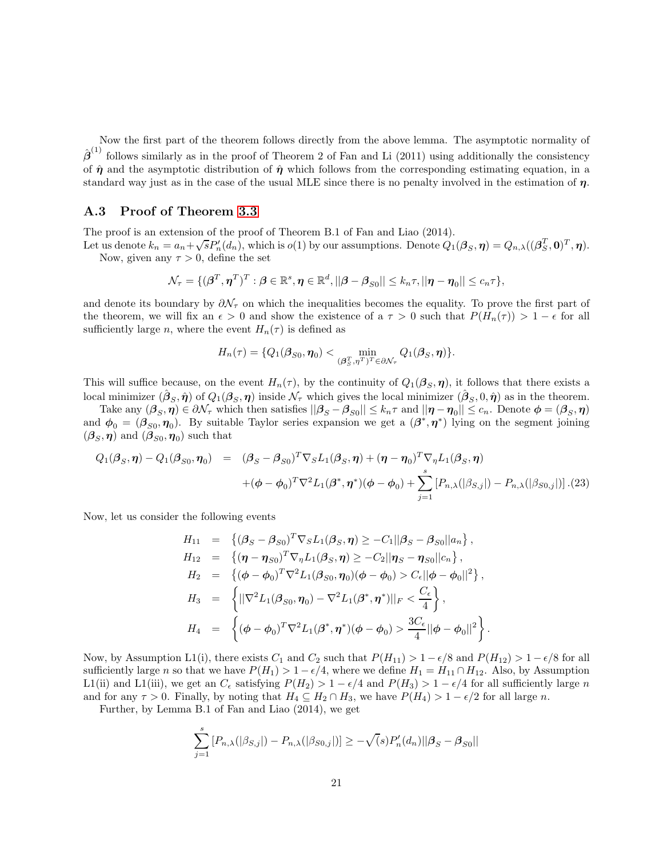Now the first part of the theorem follows directly from the above lemma. The asymptotic normality of  $\hat{\boldsymbol{\beta}}^{(1)}$  follows similarly as in the proof of Theorem 2 of Fan and Li (2011) using additionally the consistency of  $\hat{\eta}$  and the asymptotic distribution of  $\hat{\eta}$  which follows from the corresponding estimating equation, in a standard way just as in the case of the usual MLE since there is no penalty involved in the estimation of  $\eta$ .

### A.3 Proof of Theorem [3.3](#page-7-0)

The proof is an extension of the proof of Theorem B.1 of Fan and Liao (2014).

Let us denote  $k_n = a_n + \sqrt{s} P'_n(d_n)$ , which is  $o(1)$  by our assumptions. Denote  $Q'_1(\boldsymbol{\beta}_S, \boldsymbol{\eta}) = Q_{n,\lambda}((\boldsymbol{\beta}_S^T, \boldsymbol{0})^T, \boldsymbol{\eta})$ . Now, given any  $\tau > 0$ , define the set

$$
\mathcal{N}_{\tau} = \{(\boldsymbol{\beta}^T, \boldsymbol{\eta}^T)^T: \boldsymbol{\beta} \in \mathbb{R}^s, \boldsymbol{\eta} \in \mathbb{R}^d, ||\boldsymbol{\beta} - \boldsymbol{\beta}_{S0}|| \leq k_n \tau, ||\boldsymbol{\eta} - \boldsymbol{\eta}_0|| \leq c_n \tau\},\
$$

and denote its boundary by  $\partial \mathcal{N}_{\tau}$  on which the inequalities becomes the equality. To prove the first part of the theorem, we will fix an  $\epsilon > 0$  and show the existence of a  $\tau > 0$  such that  $P(H_n(\tau)) > 1 - \epsilon$  for all sufficiently large n, where the event  $H_n(\tau)$  is defined as

$$
H_n(\tau) = \{Q_1(\boldsymbol{\beta}_{S0}, \boldsymbol{\eta}_0) < \min_{(\boldsymbol{\beta}_{S}^T, \boldsymbol{\eta}^T)^T \in \partial \mathcal{N}_{\tau}} Q_1(\boldsymbol{\beta}_{S}, \boldsymbol{\eta})\}.
$$

This will suffice because, on the event  $H_n(\tau)$ , by the continuity of  $Q_1(\beta_s, \eta)$ , it follows that there exists a local minimizer  $(\hat{\boldsymbol{\beta}}_S, \hat{\boldsymbol{\eta}})$  of  $Q_1(\boldsymbol{\beta}_S, \boldsymbol{\eta})$  inside  $\mathcal{N}_{\tau}$  which gives the local minimizer  $(\hat{\boldsymbol{\beta}}_S, 0, \hat{\boldsymbol{\eta}})$  as in the theorem.

Take any  $(\beta_S, \eta) \in \partial \mathcal{N}_{\tau}$  which then satisfies  $||\beta_S - \beta_{S0}|| \leq k_n \tau$  and  $||\eta - \eta_0|| \leq c_n$ . Denote  $\phi = (\beta_S, \eta)$ and  $\phi_0 = (\beta_{S0}, \eta_0)$ . By suitable Taylor series expansion we get a  $(\beta^*, \eta^*)$  lying on the segment joining  $(\beta_S, \eta)$  and  $(\beta_{S0}, \eta_0)$  such that

$$
Q_1(\beta_S, \eta) - Q_1(\beta_{S0}, \eta_0) = (\beta_S - \beta_{S0})^T \nabla_S L_1(\beta_S, \eta) + (\eta - \eta_0)^T \nabla_{\eta} L_1(\beta_S, \eta)
$$

$$
+ (\phi - \phi_0)^T \nabla^2 L_1(\beta^*, \eta^*) (\phi - \phi_0) + \sum_{j=1}^s [P_{n,\lambda}(|\beta_{S,j}|) - P_{n,\lambda}(|\beta_{S0,j}|)]. (23)
$$

Now, let us consider the following events

$$
H_{11} = \{ (\beta_S - \beta_{S0})^T \nabla_S L_1(\beta_S, \eta) \ge -C_1 || \beta_S - \beta_{S0} || a_n \},
$$
  
\n
$$
H_{12} = \{ (\eta - \eta_{S0})^T \nabla_\eta L_1(\beta_S, \eta) \ge -C_2 || \eta_S - \eta_{S0} || c_n \},
$$
  
\n
$$
H_2 = \{ (\phi - \phi_0)^T \nabla^2 L_1(\beta_{S0}, \eta_0) (\phi - \phi_0) > C_\epsilon || \phi - \phi_0 ||^2 \},
$$
  
\n
$$
H_3 = \{ || \nabla^2 L_1(\beta_{S0}, \eta_0) - \nabla^2 L_1(\beta^*, \eta^*) ||_F < \frac{C_\epsilon}{4} \},
$$
  
\n
$$
H_4 = \{ (\phi - \phi_0)^T \nabla^2 L_1(\beta^*, \eta^*) (\phi - \phi_0) > \frac{3C_\epsilon}{4} || \phi - \phi_0 ||^2 \}.
$$

Now, by Assumption L1(i), there exists  $C_1$  and  $C_2$  such that  $P(H_{11}) > 1 - \epsilon/8$  and  $P(H_{12}) > 1 - \epsilon/8$  for all sufficiently large *n* so that we have  $P(H_1) > 1 - \epsilon/4$ , where we define  $H_1 = H_{11} \cap H_{12}$ . Also, by Assumption L1(ii) and L1(iii), we get an  $C_{\epsilon}$  satisfying  $P(H_2) > 1 - \epsilon/4$  and  $P(H_3) > 1 - \epsilon/4$  for all sufficiently large n and for any  $\tau > 0$ . Finally, by noting that  $H_4 \subseteq H_2 \cap H_3$ , we have  $P(H_4) > 1 - \epsilon/2$  for all large n.

Further, by Lemma B.1 of Fan and Liao (2014), we get

$$
\sum_{j=1}^{s} [P_{n,\lambda}(|\beta_{S,j}|) - P_{n,\lambda}(|\beta_{S0,j}|)] \geq -\sqrt{(s)P'_n(d_n)}||\beta_S - \beta_{S0}||
$$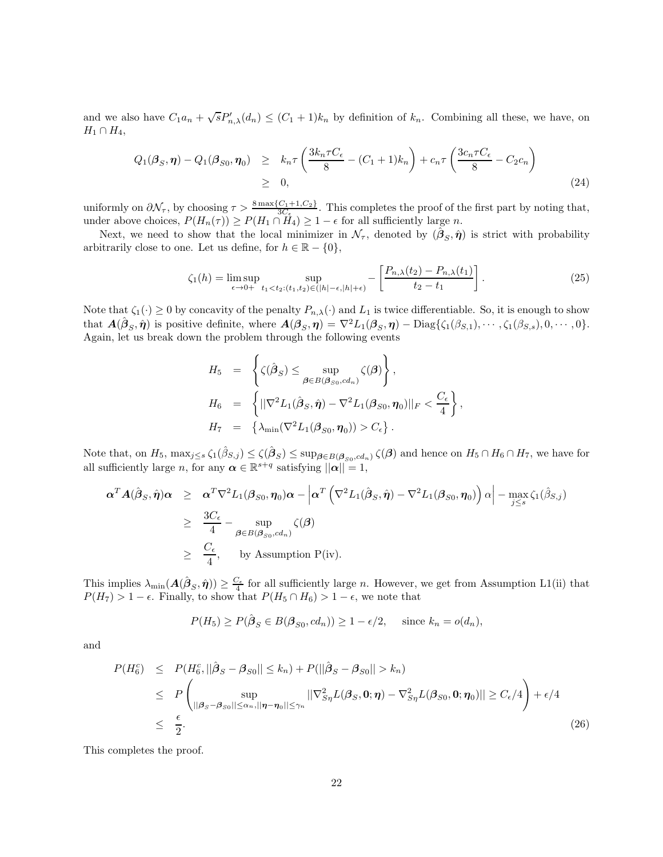and we also have  $C_1a_n + \sqrt{s}P'_{n,\lambda}(d_n) \leq (C_1+1)k_n$  by definition of  $k_n$ . Combining all these, we have, on  $H_1 \cap H_4$ ,

$$
Q_1(\beta_S, \eta) - Q_1(\beta_{S0}, \eta_0) \geq k_n \tau \left( \frac{3k_n \tau C_{\epsilon}}{8} - (C_1 + 1)k_n \right) + c_n \tau \left( \frac{3c_n \tau C_{\epsilon}}{8} - C_2 c_n \right)
$$
  
\n
$$
\geq 0,
$$
\n(24)

uniformly on  $\partial \mathcal{N}_{\tau}$ , by choosing  $\tau > \frac{8 \max\{C_1 + 1, C_2\}}{3C_{\epsilon}}$ . This completes the proof of the first part by noting that, under above choices,  $P(H_n(\tau)) \ge P(H_1 \cap H_4) \ge 1 - \epsilon$  for all sufficiently large n.

Next, we need to show that the local minimizer in  $\mathcal{N}_{\tau}$ , denoted by  $(\hat{\boldsymbol{\beta}}_S, \hat{\boldsymbol{\eta}})$  is strict with probability arbitrarily close to one. Let us define, for  $h \in \mathbb{R} - \{0\},\$ 

$$
\zeta_1(h) = \limsup_{\epsilon \to 0+} \sup_{t_1 < t_2: (t_1, t_2) \in (|h| - \epsilon, |h| + \epsilon)} - \left[ \frac{P_{n,\lambda}(t_2) - P_{n,\lambda}(t_1)}{t_2 - t_1} \right]. \tag{25}
$$

Note that  $\zeta_1(\cdot) \geq 0$  by concavity of the penalty  $P_{n,\lambda}(\cdot)$  and  $L_1$  is twice differentiable. So, it is enough to show that  $\mathbf{A}(\hat{\boldsymbol{\beta}}_S, \hat{\boldsymbol{\eta}})$  is positive definite, where  $\mathbf{A}(\boldsymbol{\beta}_S, \boldsymbol{\eta}) = \nabla^2 L_1(\boldsymbol{\beta}_S, \boldsymbol{\eta}) - \text{Diag}\{\zeta_1(\beta_{S,1}), \cdots, \zeta_1(\beta_{S,s}), 0, \cdots, 0\}.$ Again, let us break down the problem through the following events

 $\overline{a}$ 

$$
H_5 = \left\{ \zeta(\hat{\beta}_S) \le \sup_{\beta \in B(\beta_{S0}, cd_n)} \zeta(\beta) \right\},
$$
  
\n
$$
H_6 = \left\{ ||\nabla^2 L_1(\hat{\beta}_S, \hat{\eta}) - \nabla^2 L_1(\beta_{S0}, \eta_0)||_F < \frac{C_{\epsilon}}{4} \right\},
$$
  
\n
$$
H_7 = \left\{ \lambda_{\min}(\nabla^2 L_1(\beta_{S0}, \eta_0)) > C_{\epsilon} \right\}.
$$

Note that, on  $H_5$ ,  $\max_{j\leq s}\zeta_1(\hat{\beta}_{S,j}) \leq \zeta(\hat{\beta}_S) \leq \sup_{\boldsymbol{\beta} \in B(\boldsymbol{\beta}_{S0},cd_n)} \zeta(\boldsymbol{\beta})$  and hence on  $H_5 \cap H_6 \cap H_7$ , we have for all sufficiently large n, for any  $\boldsymbol{\alpha} \in \mathbb{R}^{s+q}$  satisfying  $\|\boldsymbol{\alpha}\| = 1$ ,

$$
\alpha^T A(\hat{\beta}_S, \hat{\eta}) \alpha \geq \alpha^T \nabla^2 L_1(\beta_{S0}, \eta_0) \alpha - \left| \alpha^T \left( \nabla^2 L_1(\hat{\beta}_S, \hat{\eta}) - \nabla^2 L_1(\beta_{S0}, \eta_0) \right) \alpha \right| - \max_{j \leq s} \zeta_1(\hat{\beta}_{S,j})
$$
  
\n
$$
\geq \frac{3C_{\epsilon}}{4} - \sup_{\beta \in B(\beta_{S0}, cd_n)} \zeta(\beta)
$$
  
\n
$$
\geq \frac{C_{\epsilon}}{4}, \quad \text{by Assumption P(iv).}
$$

This implies  $\lambda_{\min}(A(\hat{\beta}_S, \hat{\eta})) \geq \frac{C_{\epsilon}}{4}$  for all sufficiently large *n*. However, we get from Assumption L1(ii) that  $P(H_7) > 1 - \epsilon$ . Finally, to show that  $P(H_5 \cap H_6) > 1 - \epsilon$ , we note that

$$
P(H_5) \ge P(\hat{\beta}_S \in B(\beta_{S0}, cd_n)) \ge 1 - \epsilon/2, \quad \text{ since } k_n = o(d_n),
$$

and

$$
P(H_6^c) \leq P(H_6^c, ||\hat{\boldsymbol{\beta}}_S - \boldsymbol{\beta}_{S0}|| \leq k_n) + P(||\hat{\boldsymbol{\beta}}_S - \boldsymbol{\beta}_{S0}|| > k_n)
$$
  
\n
$$
\leq P\left(\sup_{||\boldsymbol{\beta}_S - \boldsymbol{\beta}_{S0}|| \leq \alpha_n, ||\boldsymbol{\eta} - \boldsymbol{\eta}_0|| \leq \gamma_n} ||\nabla_{S\eta}^2 L(\boldsymbol{\beta}_S, \mathbf{0}; \boldsymbol{\eta}) - \nabla_{S\eta}^2 L(\boldsymbol{\beta}_{S0}, \mathbf{0}; \boldsymbol{\eta}_0)|| \geq C_{\epsilon}/4\right) + \epsilon/4
$$
  
\n
$$
\leq \frac{\epsilon}{2}.
$$
 (26)

This completes the proof.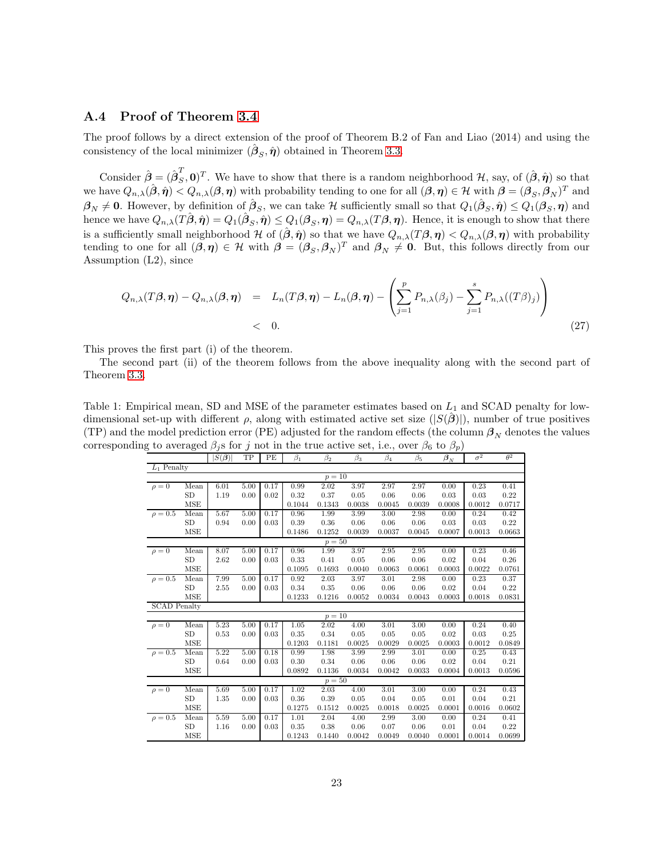#### A.4 Proof of Theorem [3.4](#page-8-2)

The proof follows by a direct extension of the proof of Theorem B.2 of Fan and Liao (2014) and using the consistency of the local minimizer  $(\hat{\beta}_S, \hat{\eta})$  obtained in Theorem [3.3.](#page-7-0)

Consider  $\hat{\boldsymbol{\beta}} = (\hat{\boldsymbol{\beta}}_S^T)$  $(S^1, 0)^T$ . We have to show that there is a random neighborhood H, say, of  $(\hat{\beta}, \hat{\eta})$  so that we have  $Q_{n,\lambda}(\hat{\boldsymbol{\beta}}, \hat{\boldsymbol{\eta}}) < Q_{n,\lambda}(\boldsymbol{\beta}, \boldsymbol{\eta})$  with probability tending to one for all  $(\boldsymbol{\beta}, \boldsymbol{\eta}) \in \mathcal{H}$  with  $\boldsymbol{\beta} = (\boldsymbol{\beta}_S, \boldsymbol{\beta}_N)^T$  and  $\beta_N \neq 0$ . However, by definition of  $\hat{\beta}_S$ , we can take H sufficiently small so that  $Q_1(\hat{\beta}_S, \hat{\eta}) \leq Q_1(\beta_S, \eta)$  and hence we have  $Q_{n,\lambda}(T\hat{\boldsymbol{\beta}},\hat{\boldsymbol{\eta}}) = Q_1(\hat{\boldsymbol{\beta}}_S,\hat{\boldsymbol{\eta}}) \leq Q_1(\boldsymbol{\beta}_S,\boldsymbol{\eta}) = Q_{n,\lambda}(T\boldsymbol{\beta},\boldsymbol{\eta}).$  Hence, it is enough to show that there is a sufficiently small neighborhood H of  $(\hat{\beta}, \hat{\eta})$  so that we have  $Q_{n,\lambda}(T\beta, \eta) < Q_{n,\lambda}(\beta, \eta)$  with probability tending to one for all  $(\beta, \eta) \in \mathcal{H}$  with  $\beta = (\beta_S, \beta_N)^T$  and  $\beta_N \neq 0$ . But, this follows directly from our Assumption (L2), since

$$
Q_{n,\lambda}(T\beta,\eta) - Q_{n,\lambda}(\beta,\eta) = L_n(T\beta,\eta) - L_n(\beta,\eta) - \left(\sum_{j=1}^p P_{n,\lambda}(\beta_j) - \sum_{j=1}^s P_{n,\lambda}((T\beta)_j)\right)
$$
  
< 0. (27)

This proves the first part (i) of the theorem.

The second part (ii) of the theorem follows from the above inequality along with the second part of Theorem [3.3.](#page-7-0)

<span id="page-22-0"></span>Table 1: Empirical mean, SD and MSE of the parameter estimates based on  $L_1$  and SCAD penalty for lowdimensional set-up with different  $\rho$ , along with estimated active set size  $(|S(\hat{\beta})|)$ , number of true positives (TP) and the model prediction error (PE) adjusted for the random effects (the column  $\beta_N$  denotes the values corresponding to averaged  $\beta_i$ s for j not in the true active set, i.e., over  $\beta_6$  to  $\beta_n$ )

| $5.00$ and $6.00$ $\mu$ $\mu$ and $J$<br>$100$ in the state about $0.000$ , $1.00$<br>$\sim$ , $\sim$ $\sim$ $\sim$ $\sim$ $\mu$ $\mu$ |            |                                 |      |      |           |           |           |           |           |                |            |            |
|----------------------------------------------------------------------------------------------------------------------------------------|------------|---------------------------------|------|------|-----------|-----------|-----------|-----------|-----------|----------------|------------|------------|
|                                                                                                                                        |            | $ S(\hat{\boldsymbol{\beta}}) $ | TP   | PE   | $\beta_1$ | $\beta_2$ | $\beta_3$ | $\beta_4$ | $\beta_5$ | $\bm{\beta}_N$ | $\sigma^2$ | $\theta^2$ |
| $L_1$ Penalty                                                                                                                          |            |                                 |      |      |           |           |           |           |           |                |            |            |
| $p = 10$                                                                                                                               |            |                                 |      |      |           |           |           |           |           |                |            |            |
| $\rho = 0$                                                                                                                             | Mean       | 6.01                            | 5.00 | 0.17 | 0.99      | 2.02      | 3.97      | 2.97      | 2.97      | 0.00           | 0.23       | 0.41       |
|                                                                                                                                        | <b>SD</b>  | 1.19                            | 0.00 | 0.02 | 0.32      | 0.37      | 0.05      | 0.06      | 0.06      | 0.03           | 0.03       | 0.22       |
|                                                                                                                                        | <b>MSE</b> |                                 |      |      | 0.1044    | 0.1343    | 0.0038    | 0.0045    | 0.0039    | 0.0008         | 0.0012     | 0.0717     |
| $\rho = 0.5$                                                                                                                           | Mean       | 5.67                            | 5.00 | 0.17 | 0.96      | 1.99      | 3.99      | 3.00      | 2.98      | 0.00           | 0.24       | 0.42       |
|                                                                                                                                        | <b>SD</b>  | 0.94                            | 0.00 | 0.03 | 0.39      | 0.36      | 0.06      | 0.06      | 0.06      | 0.03           | 0.03       | 0.22       |
|                                                                                                                                        | <b>MSE</b> |                                 |      |      | 0.1486    | 0.1252    | 0.0039    | 0.0037    | 0.0045    | 0.0007         | 0.0013     | 0.0663     |
|                                                                                                                                        |            |                                 |      |      |           | $p=50$    |           |           |           |                |            |            |
| $\rho = 0$                                                                                                                             | Mean       | 8.07                            | 5.00 | 0.17 | 0.96      | 1.99      | 3.97      | 2.95      | 2.95      | 0.00           | 0.23       | 0.46       |
|                                                                                                                                        | SD         | 2.62                            | 0.00 | 0.03 | 0.33      | 0.41      | 0.05      | 0.06      | 0.06      | 0.02           | 0.04       | 0.26       |
|                                                                                                                                        | <b>MSE</b> |                                 |      |      | 0.1095    | 0.1693    | 0.0040    | 0.0063    | 0.0061    | 0.0003         | 0.0022     | 0.0761     |
| $\rho = 0.5$                                                                                                                           | Mean       | 7.99                            | 5.00 | 0.17 | 0.92      | 2.03      | 3.97      | 3.01      | 2.98      | 0.00           | 0.23       | 0.37       |
|                                                                                                                                        | <b>SD</b>  | 2.55                            | 0.00 | 0.03 | 0.34      | 0.35      | 0.06      | 0.06      | 0.06      | 0.02           | 0.04       | 0.22       |
|                                                                                                                                        | <b>MSE</b> |                                 |      |      | 0.1233    | 0.1216    | 0.0052    | 0.0034    | 0.0043    | 0.0003         | 0.0018     | 0.0831     |
| <b>SCAD</b> Penalty                                                                                                                    |            |                                 |      |      |           |           |           |           |           |                |            |            |
|                                                                                                                                        |            |                                 |      |      |           | $p=10$    |           |           |           |                |            |            |
| $\rho = 0$                                                                                                                             | Mean       | 5.23                            | 5.00 | 0.17 | 1.05      | 2.02      | 4.00      | 3.01      | 3.00      | 0.00           | 0.24       | 0.40       |
|                                                                                                                                        | <b>SD</b>  | 0.53                            | 0.00 | 0.03 | 0.35      | 0.34      | 0.05      | 0.05      | 0.05      | 0.02           | 0.03       | 0.25       |
|                                                                                                                                        | <b>MSE</b> |                                 |      |      | 0.1203    | 0.1181    | 0.0025    | 0.0029    | 0.0025    | 0.0003         | 0.0012     | 0.0849     |
| $\rho = 0.5$                                                                                                                           | Mean       | 5.22                            | 5.00 | 0.18 | 0.99      | 1.98      | 3.99      | 2.99      | 3.01      | 0.00           | 0.25       | 0.43       |
|                                                                                                                                        | <b>SD</b>  | 0.64                            | 0.00 | 0.03 | 0.30      | 0.34      | 0.06      | 0.06      | 0.06      | 0.02           | 0.04       | 0.21       |
|                                                                                                                                        | <b>MSE</b> |                                 |      |      | 0.0892    | 0.1136    | 0.0034    | 0.0042    | 0.0033    | 0.0004         | 0.0013     | 0.0596     |
| $p=50$                                                                                                                                 |            |                                 |      |      |           |           |           |           |           |                |            |            |
| $\rho = 0$                                                                                                                             | Mean       | 5.69                            | 5.00 | 0.17 | 1.02      | 2.03      | 4.00      | 3.01      | 3.00      | 0.00           | 0.24       | 0.43       |
|                                                                                                                                        | <b>SD</b>  | 1.35                            | 0.00 | 0.03 | 0.36      | 0.39      | 0.05      | 0.04      | 0.05      | 0.01           | 0.04       | 0.21       |
|                                                                                                                                        | <b>MSE</b> |                                 |      |      | 0.1275    | 0.1512    | 0.0025    | 0.0018    | 0.0025    | 0.0001         | 0.0016     | 0.0602     |
| $\rho = 0.5$                                                                                                                           | Mean       | 5.59                            | 5.00 | 0.17 | 1.01      | 2.04      | 4.00      | 2.99      | 3.00      | 0.00           | 0.24       | 0.41       |
|                                                                                                                                        | <b>SD</b>  | 1.16                            | 0.00 | 0.03 | 0.35      | 0.38      | 0.06      | 0.07      | 0.06      | 0.01           | 0.04       | 0.22       |
|                                                                                                                                        | <b>MSE</b> |                                 |      |      | 0.1243    | 0.1440    | 0.0042    | 0.0049    | 0.0040    | 0.0001         | 0.0014     | 0.0699     |
|                                                                                                                                        |            |                                 |      |      |           |           |           |           |           |                |            |            |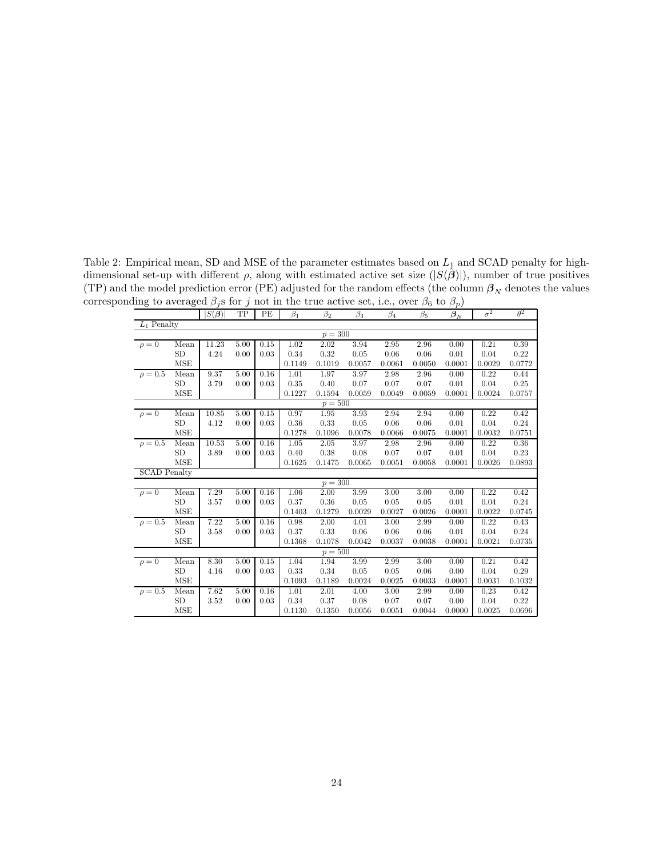Table 2: Empirical mean, SD and MSE of the parameter estimates based on  $L_1$  and SCAD penalty for highdimensional set-up with different  $\rho$ , along with estimated active set size  $(|S(\hat{\beta})|)$ , number of true positives (TP) and the model prediction error (PE) adjusted for the random effects (the column  $\beta_N$  denotes the values corresponding to averaged  $\beta_j$ s for j not in the true active set, i.e., over  $\beta_6$  to  $\beta_p$ )

<span id="page-23-0"></span>

| $_{\mathrm{TP}}$<br>PE<br>$\beta_1$<br>$\beta_4$<br>$\beta_5$<br>$\boldsymbol{\beta}_N$<br>$\beta_2$<br>$\beta_3$<br>$L_1$ Penalty<br>$p = 300$<br>11.23<br>3.94<br>0.39<br>5.00<br>0.15<br>1.02<br>2.02<br>2.95<br>2.96<br>0.21<br>$\rho = 0$<br>Mean<br>0.00<br><b>SD</b><br>4.24<br>0.34<br>0.32<br>0.05<br>0.04<br>0.22<br>0.00<br>0.03<br>0.06<br>0.06<br>0.01<br><b>MSE</b><br>0.1149<br>0.1019<br>0.0057<br>0.0061<br>0.0050<br>0.0001<br>0.0029<br>0.0772<br>9.37<br>5.00<br>$\rho = 0.5$<br>0.16<br>1.01<br>1.97<br>3.97<br>0.22<br>0.44<br>Mean<br>2.98<br>2.96<br>0.00<br><b>SD</b><br>3.79<br>0.35<br>0.40<br>0.07<br>0.07<br>0.07<br>0.04<br>0.25<br>0.00<br>0.03<br>0.01<br>MSE<br>0.1227<br>0.1594<br>0.0059<br>0.0049<br>0.0059<br>0.0001<br>0.0024<br>0.0757<br>$p=50\overline{0}$<br>5.00<br>3.93<br>10.85<br>0.15<br>0.97<br>1.95<br>2.94<br>2.94<br>0.00<br>0.22<br>0.42<br>$\rho = 0$<br>Mean<br><b>SD</b><br>4.12<br>0.00<br>0.03<br>0.36<br>0.33<br>0.05<br>0.06<br>0.06<br>0.01<br>0.04<br>0.24<br>MSE<br>0.0751<br>0.1278<br>0.1096<br>0.0078<br>0.0066<br>0.0075<br>0.0001<br>0.0032<br>10.53<br>5.00<br>0.16<br>$\rho = 0.5$<br>1.05<br>2.05<br>3.97<br>2.98<br>2.96<br>0.22<br>0.36<br>Mean<br>0.00<br><b>SD</b><br>0.08<br>0.23<br>3.89<br>0.00<br>0.03<br>0.40<br>0.38<br>0.07<br>0.07<br>0.01<br>0.04<br><b>MSE</b><br>0.1625<br>0.1475<br>0.0051<br>0.0058<br>0.0026<br>0.0893<br>0.0065<br>0.0001<br><b>SCAD</b> Penalty<br>$p = 300$<br>7.29<br>5.00<br>2.00<br>3.99<br>3.00<br>3.00<br>0.42<br>Mean<br>0.16<br>1.06<br>0.00<br>0.22<br>$\rho = 0$<br><b>SD</b><br>0.36<br>0.05<br>0.05<br>0.01<br>0.04<br>0.24<br>3.57<br>0.00<br>0.03<br>0.37<br>0.05<br><b>MSE</b><br>0.1403<br>0.0029<br>0.0027<br>0.0026<br>0.0001<br>0.0022<br>0.0745<br>0.1279<br>7.22<br>$\rho = 0.5$<br>5.00<br>0.16<br>0.98<br>3.00<br>Mean<br>2.00<br>4.01<br>2.99<br>0.00<br>0.22<br>0.43<br><b>SD</b><br>0.37<br>0.33<br>0.06<br>0.06<br>0.06<br>0.24<br>3.58<br>0.00<br>0.03<br>0.01<br>0.04<br><b>MSE</b><br>0.1078<br>0.0735<br>0.1368<br>0.0042<br>0.0037<br>0.0038<br>0.0001<br>0.0021<br>$p = 500$<br>8.30<br>5.00<br>1.04<br>1.94<br>3.99<br>2.99<br>3.00<br>0.21<br>0.42<br>$\rho = 0$<br>Mean<br>0.15<br>0.00<br><b>SD</b><br>0.33<br>0.34<br>0.00<br>0.04<br>0.29<br>0.00<br>0.03<br>0.05<br>0.05<br>0.06<br>4.16<br><b>MSE</b><br>0.1093<br>0.1189<br>0.0024<br>0.0025<br>0.0033<br>0.0001<br>0.0031<br>0.1032<br>7.62<br>5.00<br>$\rho = 0.5$<br>0.16<br>1.01<br>2.01<br>3.00<br>2.99<br>0.23<br>0.42<br>Mean<br>4.00<br>0.00<br><b>SD</b><br>0.34<br>0.37<br>0.04<br>0.22<br>3.52<br>0.00<br>0.03<br>0.08<br>0.07<br>0.07<br>0.00<br>MSE<br>0.1350<br>0.0696<br>0.1130<br>0.0056<br>0.0051<br>0.0044<br>0.0000<br>0.0025 |  |  | $\boldsymbol{\mathcal{J}}$    |  |  |  |  |  |  | $\mathbf{r}$ |            |            |
|------------------------------------------------------------------------------------------------------------------------------------------------------------------------------------------------------------------------------------------------------------------------------------------------------------------------------------------------------------------------------------------------------------------------------------------------------------------------------------------------------------------------------------------------------------------------------------------------------------------------------------------------------------------------------------------------------------------------------------------------------------------------------------------------------------------------------------------------------------------------------------------------------------------------------------------------------------------------------------------------------------------------------------------------------------------------------------------------------------------------------------------------------------------------------------------------------------------------------------------------------------------------------------------------------------------------------------------------------------------------------------------------------------------------------------------------------------------------------------------------------------------------------------------------------------------------------------------------------------------------------------------------------------------------------------------------------------------------------------------------------------------------------------------------------------------------------------------------------------------------------------------------------------------------------------------------------------------------------------------------------------------------------------------------------------------------------------------------------------------------------------------------------------------------------------------------------------------------------------------------------------------------------------------------------------------------------------------------------------------------------------------------------------------------------------------------------------------------------------------------------------------------------------------------------------------------------------------------------------------------------------------------------------------------------------------------------------------------------------------------------|--|--|-------------------------------|--|--|--|--|--|--|--------------|------------|------------|
|                                                                                                                                                                                                                                                                                                                                                                                                                                                                                                                                                                                                                                                                                                                                                                                                                                                                                                                                                                                                                                                                                                                                                                                                                                                                                                                                                                                                                                                                                                                                                                                                                                                                                                                                                                                                                                                                                                                                                                                                                                                                                                                                                                                                                                                                                                                                                                                                                                                                                                                                                                                                                                                                                                                                                      |  |  | $S(\hat{\boldsymbol{\beta}})$ |  |  |  |  |  |  |              | $\sigma^2$ | $\theta^2$ |
|                                                                                                                                                                                                                                                                                                                                                                                                                                                                                                                                                                                                                                                                                                                                                                                                                                                                                                                                                                                                                                                                                                                                                                                                                                                                                                                                                                                                                                                                                                                                                                                                                                                                                                                                                                                                                                                                                                                                                                                                                                                                                                                                                                                                                                                                                                                                                                                                                                                                                                                                                                                                                                                                                                                                                      |  |  |                               |  |  |  |  |  |  |              |            |            |
|                                                                                                                                                                                                                                                                                                                                                                                                                                                                                                                                                                                                                                                                                                                                                                                                                                                                                                                                                                                                                                                                                                                                                                                                                                                                                                                                                                                                                                                                                                                                                                                                                                                                                                                                                                                                                                                                                                                                                                                                                                                                                                                                                                                                                                                                                                                                                                                                                                                                                                                                                                                                                                                                                                                                                      |  |  |                               |  |  |  |  |  |  |              |            |            |
|                                                                                                                                                                                                                                                                                                                                                                                                                                                                                                                                                                                                                                                                                                                                                                                                                                                                                                                                                                                                                                                                                                                                                                                                                                                                                                                                                                                                                                                                                                                                                                                                                                                                                                                                                                                                                                                                                                                                                                                                                                                                                                                                                                                                                                                                                                                                                                                                                                                                                                                                                                                                                                                                                                                                                      |  |  |                               |  |  |  |  |  |  |              |            |            |
|                                                                                                                                                                                                                                                                                                                                                                                                                                                                                                                                                                                                                                                                                                                                                                                                                                                                                                                                                                                                                                                                                                                                                                                                                                                                                                                                                                                                                                                                                                                                                                                                                                                                                                                                                                                                                                                                                                                                                                                                                                                                                                                                                                                                                                                                                                                                                                                                                                                                                                                                                                                                                                                                                                                                                      |  |  |                               |  |  |  |  |  |  |              |            |            |
|                                                                                                                                                                                                                                                                                                                                                                                                                                                                                                                                                                                                                                                                                                                                                                                                                                                                                                                                                                                                                                                                                                                                                                                                                                                                                                                                                                                                                                                                                                                                                                                                                                                                                                                                                                                                                                                                                                                                                                                                                                                                                                                                                                                                                                                                                                                                                                                                                                                                                                                                                                                                                                                                                                                                                      |  |  |                               |  |  |  |  |  |  |              |            |            |
|                                                                                                                                                                                                                                                                                                                                                                                                                                                                                                                                                                                                                                                                                                                                                                                                                                                                                                                                                                                                                                                                                                                                                                                                                                                                                                                                                                                                                                                                                                                                                                                                                                                                                                                                                                                                                                                                                                                                                                                                                                                                                                                                                                                                                                                                                                                                                                                                                                                                                                                                                                                                                                                                                                                                                      |  |  |                               |  |  |  |  |  |  |              |            |            |
|                                                                                                                                                                                                                                                                                                                                                                                                                                                                                                                                                                                                                                                                                                                                                                                                                                                                                                                                                                                                                                                                                                                                                                                                                                                                                                                                                                                                                                                                                                                                                                                                                                                                                                                                                                                                                                                                                                                                                                                                                                                                                                                                                                                                                                                                                                                                                                                                                                                                                                                                                                                                                                                                                                                                                      |  |  |                               |  |  |  |  |  |  |              |            |            |
|                                                                                                                                                                                                                                                                                                                                                                                                                                                                                                                                                                                                                                                                                                                                                                                                                                                                                                                                                                                                                                                                                                                                                                                                                                                                                                                                                                                                                                                                                                                                                                                                                                                                                                                                                                                                                                                                                                                                                                                                                                                                                                                                                                                                                                                                                                                                                                                                                                                                                                                                                                                                                                                                                                                                                      |  |  |                               |  |  |  |  |  |  |              |            |            |
|                                                                                                                                                                                                                                                                                                                                                                                                                                                                                                                                                                                                                                                                                                                                                                                                                                                                                                                                                                                                                                                                                                                                                                                                                                                                                                                                                                                                                                                                                                                                                                                                                                                                                                                                                                                                                                                                                                                                                                                                                                                                                                                                                                                                                                                                                                                                                                                                                                                                                                                                                                                                                                                                                                                                                      |  |  |                               |  |  |  |  |  |  |              |            |            |
|                                                                                                                                                                                                                                                                                                                                                                                                                                                                                                                                                                                                                                                                                                                                                                                                                                                                                                                                                                                                                                                                                                                                                                                                                                                                                                                                                                                                                                                                                                                                                                                                                                                                                                                                                                                                                                                                                                                                                                                                                                                                                                                                                                                                                                                                                                                                                                                                                                                                                                                                                                                                                                                                                                                                                      |  |  |                               |  |  |  |  |  |  |              |            |            |
|                                                                                                                                                                                                                                                                                                                                                                                                                                                                                                                                                                                                                                                                                                                                                                                                                                                                                                                                                                                                                                                                                                                                                                                                                                                                                                                                                                                                                                                                                                                                                                                                                                                                                                                                                                                                                                                                                                                                                                                                                                                                                                                                                                                                                                                                                                                                                                                                                                                                                                                                                                                                                                                                                                                                                      |  |  |                               |  |  |  |  |  |  |              |            |            |
|                                                                                                                                                                                                                                                                                                                                                                                                                                                                                                                                                                                                                                                                                                                                                                                                                                                                                                                                                                                                                                                                                                                                                                                                                                                                                                                                                                                                                                                                                                                                                                                                                                                                                                                                                                                                                                                                                                                                                                                                                                                                                                                                                                                                                                                                                                                                                                                                                                                                                                                                                                                                                                                                                                                                                      |  |  |                               |  |  |  |  |  |  |              |            |            |
|                                                                                                                                                                                                                                                                                                                                                                                                                                                                                                                                                                                                                                                                                                                                                                                                                                                                                                                                                                                                                                                                                                                                                                                                                                                                                                                                                                                                                                                                                                                                                                                                                                                                                                                                                                                                                                                                                                                                                                                                                                                                                                                                                                                                                                                                                                                                                                                                                                                                                                                                                                                                                                                                                                                                                      |  |  |                               |  |  |  |  |  |  |              |            |            |
|                                                                                                                                                                                                                                                                                                                                                                                                                                                                                                                                                                                                                                                                                                                                                                                                                                                                                                                                                                                                                                                                                                                                                                                                                                                                                                                                                                                                                                                                                                                                                                                                                                                                                                                                                                                                                                                                                                                                                                                                                                                                                                                                                                                                                                                                                                                                                                                                                                                                                                                                                                                                                                                                                                                                                      |  |  |                               |  |  |  |  |  |  |              |            |            |
|                                                                                                                                                                                                                                                                                                                                                                                                                                                                                                                                                                                                                                                                                                                                                                                                                                                                                                                                                                                                                                                                                                                                                                                                                                                                                                                                                                                                                                                                                                                                                                                                                                                                                                                                                                                                                                                                                                                                                                                                                                                                                                                                                                                                                                                                                                                                                                                                                                                                                                                                                                                                                                                                                                                                                      |  |  |                               |  |  |  |  |  |  |              |            |            |
|                                                                                                                                                                                                                                                                                                                                                                                                                                                                                                                                                                                                                                                                                                                                                                                                                                                                                                                                                                                                                                                                                                                                                                                                                                                                                                                                                                                                                                                                                                                                                                                                                                                                                                                                                                                                                                                                                                                                                                                                                                                                                                                                                                                                                                                                                                                                                                                                                                                                                                                                                                                                                                                                                                                                                      |  |  |                               |  |  |  |  |  |  |              |            |            |
|                                                                                                                                                                                                                                                                                                                                                                                                                                                                                                                                                                                                                                                                                                                                                                                                                                                                                                                                                                                                                                                                                                                                                                                                                                                                                                                                                                                                                                                                                                                                                                                                                                                                                                                                                                                                                                                                                                                                                                                                                                                                                                                                                                                                                                                                                                                                                                                                                                                                                                                                                                                                                                                                                                                                                      |  |  |                               |  |  |  |  |  |  |              |            |            |
|                                                                                                                                                                                                                                                                                                                                                                                                                                                                                                                                                                                                                                                                                                                                                                                                                                                                                                                                                                                                                                                                                                                                                                                                                                                                                                                                                                                                                                                                                                                                                                                                                                                                                                                                                                                                                                                                                                                                                                                                                                                                                                                                                                                                                                                                                                                                                                                                                                                                                                                                                                                                                                                                                                                                                      |  |  |                               |  |  |  |  |  |  |              |            |            |
|                                                                                                                                                                                                                                                                                                                                                                                                                                                                                                                                                                                                                                                                                                                                                                                                                                                                                                                                                                                                                                                                                                                                                                                                                                                                                                                                                                                                                                                                                                                                                                                                                                                                                                                                                                                                                                                                                                                                                                                                                                                                                                                                                                                                                                                                                                                                                                                                                                                                                                                                                                                                                                                                                                                                                      |  |  |                               |  |  |  |  |  |  |              |            |            |
|                                                                                                                                                                                                                                                                                                                                                                                                                                                                                                                                                                                                                                                                                                                                                                                                                                                                                                                                                                                                                                                                                                                                                                                                                                                                                                                                                                                                                                                                                                                                                                                                                                                                                                                                                                                                                                                                                                                                                                                                                                                                                                                                                                                                                                                                                                                                                                                                                                                                                                                                                                                                                                                                                                                                                      |  |  |                               |  |  |  |  |  |  |              |            |            |
|                                                                                                                                                                                                                                                                                                                                                                                                                                                                                                                                                                                                                                                                                                                                                                                                                                                                                                                                                                                                                                                                                                                                                                                                                                                                                                                                                                                                                                                                                                                                                                                                                                                                                                                                                                                                                                                                                                                                                                                                                                                                                                                                                                                                                                                                                                                                                                                                                                                                                                                                                                                                                                                                                                                                                      |  |  |                               |  |  |  |  |  |  |              |            |            |
|                                                                                                                                                                                                                                                                                                                                                                                                                                                                                                                                                                                                                                                                                                                                                                                                                                                                                                                                                                                                                                                                                                                                                                                                                                                                                                                                                                                                                                                                                                                                                                                                                                                                                                                                                                                                                                                                                                                                                                                                                                                                                                                                                                                                                                                                                                                                                                                                                                                                                                                                                                                                                                                                                                                                                      |  |  |                               |  |  |  |  |  |  |              |            |            |
|                                                                                                                                                                                                                                                                                                                                                                                                                                                                                                                                                                                                                                                                                                                                                                                                                                                                                                                                                                                                                                                                                                                                                                                                                                                                                                                                                                                                                                                                                                                                                                                                                                                                                                                                                                                                                                                                                                                                                                                                                                                                                                                                                                                                                                                                                                                                                                                                                                                                                                                                                                                                                                                                                                                                                      |  |  |                               |  |  |  |  |  |  |              |            |            |
|                                                                                                                                                                                                                                                                                                                                                                                                                                                                                                                                                                                                                                                                                                                                                                                                                                                                                                                                                                                                                                                                                                                                                                                                                                                                                                                                                                                                                                                                                                                                                                                                                                                                                                                                                                                                                                                                                                                                                                                                                                                                                                                                                                                                                                                                                                                                                                                                                                                                                                                                                                                                                                                                                                                                                      |  |  |                               |  |  |  |  |  |  |              |            |            |
|                                                                                                                                                                                                                                                                                                                                                                                                                                                                                                                                                                                                                                                                                                                                                                                                                                                                                                                                                                                                                                                                                                                                                                                                                                                                                                                                                                                                                                                                                                                                                                                                                                                                                                                                                                                                                                                                                                                                                                                                                                                                                                                                                                                                                                                                                                                                                                                                                                                                                                                                                                                                                                                                                                                                                      |  |  |                               |  |  |  |  |  |  |              |            |            |
|                                                                                                                                                                                                                                                                                                                                                                                                                                                                                                                                                                                                                                                                                                                                                                                                                                                                                                                                                                                                                                                                                                                                                                                                                                                                                                                                                                                                                                                                                                                                                                                                                                                                                                                                                                                                                                                                                                                                                                                                                                                                                                                                                                                                                                                                                                                                                                                                                                                                                                                                                                                                                                                                                                                                                      |  |  |                               |  |  |  |  |  |  |              |            |            |
|                                                                                                                                                                                                                                                                                                                                                                                                                                                                                                                                                                                                                                                                                                                                                                                                                                                                                                                                                                                                                                                                                                                                                                                                                                                                                                                                                                                                                                                                                                                                                                                                                                                                                                                                                                                                                                                                                                                                                                                                                                                                                                                                                                                                                                                                                                                                                                                                                                                                                                                                                                                                                                                                                                                                                      |  |  |                               |  |  |  |  |  |  |              |            |            |
|                                                                                                                                                                                                                                                                                                                                                                                                                                                                                                                                                                                                                                                                                                                                                                                                                                                                                                                                                                                                                                                                                                                                                                                                                                                                                                                                                                                                                                                                                                                                                                                                                                                                                                                                                                                                                                                                                                                                                                                                                                                                                                                                                                                                                                                                                                                                                                                                                                                                                                                                                                                                                                                                                                                                                      |  |  |                               |  |  |  |  |  |  |              |            |            |
|                                                                                                                                                                                                                                                                                                                                                                                                                                                                                                                                                                                                                                                                                                                                                                                                                                                                                                                                                                                                                                                                                                                                                                                                                                                                                                                                                                                                                                                                                                                                                                                                                                                                                                                                                                                                                                                                                                                                                                                                                                                                                                                                                                                                                                                                                                                                                                                                                                                                                                                                                                                                                                                                                                                                                      |  |  |                               |  |  |  |  |  |  |              |            |            |
|                                                                                                                                                                                                                                                                                                                                                                                                                                                                                                                                                                                                                                                                                                                                                                                                                                                                                                                                                                                                                                                                                                                                                                                                                                                                                                                                                                                                                                                                                                                                                                                                                                                                                                                                                                                                                                                                                                                                                                                                                                                                                                                                                                                                                                                                                                                                                                                                                                                                                                                                                                                                                                                                                                                                                      |  |  |                               |  |  |  |  |  |  |              |            |            |